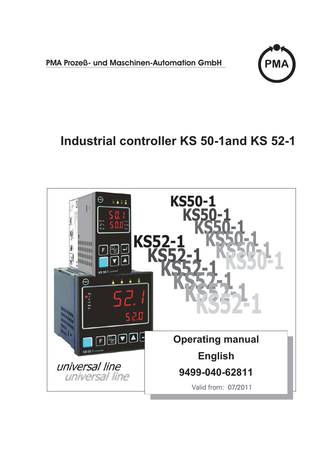**PMA Prozeß- und Maschinen-Automation GmbH**



# **Industrial controller KS 50-1and KS 52-1**

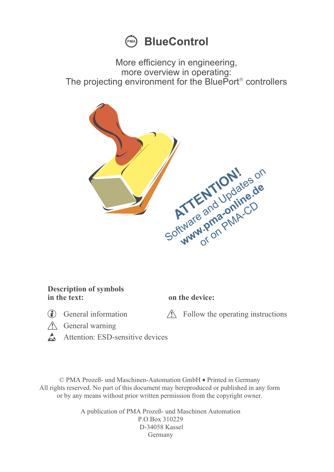

More efficiency in engineering, more overview in operating: The projecting environment for the BluePort<sup>®</sup> controllers



#### **Description of symbols in the text: on the device:**

General information  $\triangle$  Follow the operating instructions  $\triangle$  General warning

- 
- $\overbrace{a}$  General warning
- Attention: ESD-sensitive devices

© PMA Prozeß- und Maschinen-Automation GmbH • Printed in Germany All rights reserved. No part of this document may bereproduced or published in any form or by any means without prior written permission from the copyright owner.

> A publication of PMA Prozeß- und Maschinen Automation P.O.Box 310229 D-34058 Kassel Germany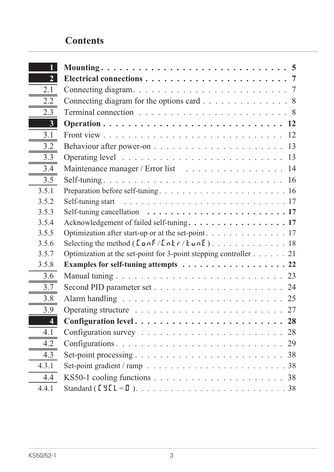# **Contents**

| 2 <sub>1</sub>          |                                                                                                     |
|-------------------------|-----------------------------------------------------------------------------------------------------|
| 2.1                     |                                                                                                     |
| 2.2                     | Connecting diagram for the options card $\ldots \ldots \ldots \ldots \ldots$                        |
| 2.3                     | Terminal connection $\ldots \ldots \ldots \ldots \ldots \ldots \ldots \ldots \ldots 8$              |
| 3 <sup>1</sup>          |                                                                                                     |
| 3.1                     |                                                                                                     |
| 3.2                     |                                                                                                     |
| 3.3                     |                                                                                                     |
| 3.4                     | Maintenance manager / Error list 14                                                                 |
| 3.5                     |                                                                                                     |
| 3.5.1                   |                                                                                                     |
| 3.5.2                   | Self-tuning start $\ldots \ldots \ldots \ldots \ldots \ldots \ldots \ldots \ldots \ldots \ldots 17$ |
| 3.5.3                   | Self-tuning cancellation $\ldots \ldots \ldots \ldots \ldots \ldots \ldots \ldots \ldots$ 17        |
| 3.5.4                   | Acknowledgement of failed self-tuning. 17                                                           |
| 3.5.5                   | Optimization after start-up or at the set-point. 17                                                 |
| 3.5.6                   |                                                                                                     |
| 3.5.7                   | Optimization at the set-point for 3-point stepping controller $\dots$ $\dots$ . 21                  |
| 3.5.8                   | Examples for self-tuning attempts 22                                                                |
| 3.6                     | Manual tuning $\ldots \ldots \ldots \ldots \ldots \ldots \ldots \ldots \ldots \ldots \ldots$ 23     |
| 3.7                     |                                                                                                     |
| 3.8                     |                                                                                                     |
| 3.9                     |                                                                                                     |
| $\overline{\mathbf{4}}$ |                                                                                                     |
| 4.1                     | Configuration survey $\ldots \ldots \ldots \ldots \ldots \ldots \ldots \ldots 28$                   |
| 4.2                     |                                                                                                     |
| 4.3                     |                                                                                                     |
| 4.3.1                   | Set-point gradient / ramp $\ldots \ldots \ldots \ldots \ldots \ldots \ldots \ldots \ldots 38$       |
| 4.4                     |                                                                                                     |
| 4.4.1                   |                                                                                                     |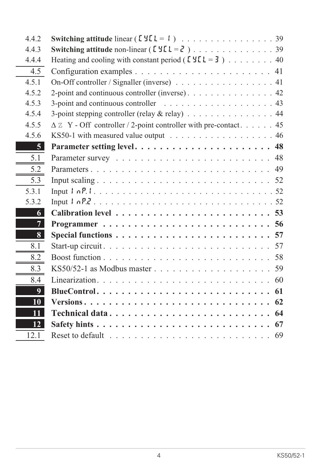| 4.4.2            |                                                                                      |
|------------------|--------------------------------------------------------------------------------------|
| 4.4.3            |                                                                                      |
| 4.4.4            | Heating and cooling with constant period ( $[YL = 3]$ ) 40                           |
| 4.5              |                                                                                      |
| 4.5.1            | On-Off controller / Signaller (inverse) 41                                           |
| 4.5.2            |                                                                                      |
| 4.5.3            | 3-point and continuous controller $\ldots \ldots \ldots \ldots \ldots \ldots$ 43     |
| 4.5.4            | 3-point stepping controller (relay $\&$ relay) 44                                    |
| 4.5.5            | $\Delta$ Z Y - Off controller / 2-point controller with pre-contact 45               |
| 4.5.6            | KS50-1 with measured value output $\ldots \ldots \ldots \ldots \ldots \ldots \ldots$ |
| 5 <sup>1</sup>   |                                                                                      |
| 5.1              |                                                                                      |
| 5.2              |                                                                                      |
| 5.3              |                                                                                      |
| 5.3.1            |                                                                                      |
| 5.3.2            |                                                                                      |
| 6                |                                                                                      |
| 7 <sup>1</sup>   |                                                                                      |
| $\vert 8 \vert$  |                                                                                      |
| 8.1              |                                                                                      |
| 8.2              |                                                                                      |
| 8.3              | 59                                                                                   |
| 8.4              |                                                                                      |
| $\boldsymbol{Q}$ |                                                                                      |
| 10               | 62                                                                                   |
| 11               | Technical data<br>64                                                                 |
| 12               | Safety hints $\ldots \ldots \ldots \ldots \ldots \ldots \ldots \ldots \ldots$<br>67  |
| 12.1             | 69                                                                                   |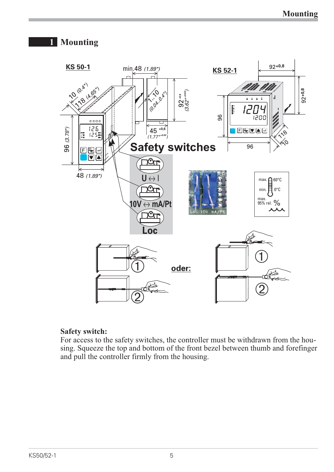# **1 Mounting**



#### **Safety switch:**

For access to the safety switches, the controller must be withdrawn from the housing. Squeeze the top and bottom of the front bezel between thumb and forefinger and pull the controller firmly from the housing.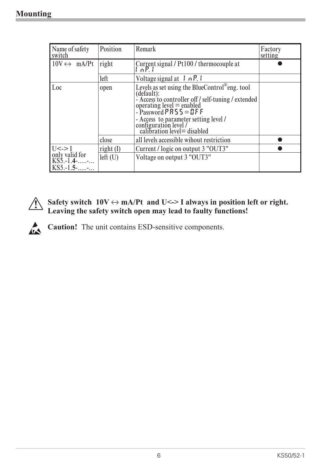| Name of safety<br>switch                      | Position                                                     | Remark                                                                                                                                                                                                                                                                                         | Factory<br>setting |
|-----------------------------------------------|--------------------------------------------------------------|------------------------------------------------------------------------------------------------------------------------------------------------------------------------------------------------------------------------------------------------------------------------------------------------|--------------------|
| $10V \leftrightarrow mA/Pt$                   | Current signal / Pt100 / thermocouple at<br>right<br>$1nP_1$ |                                                                                                                                                                                                                                                                                                |                    |
|                                               | left                                                         | Voltage signal at $\mathcal{F}$ , $\mathcal{F}$ , $\mathcal{F}$                                                                                                                                                                                                                                |                    |
| Loc                                           | open                                                         | Levels as set using the BlueControl <sup>®</sup> eng. tool<br>(default):<br>- Access to controller off / self-tuning / extended<br>operating level = enabled<br>- Password $P$ R 5 5 = D F F<br>- Access to parameter setting level /<br>configuration level /<br>calibration level = disabled |                    |
|                                               | close                                                        | all levels accessible wihout restriction                                                                                                                                                                                                                                                       |                    |
| $U \le -1$                                    | right (I)                                                    | Current / logic on output 3 "OUT3"                                                                                                                                                                                                                                                             |                    |
| only valid for<br>KS5.-1.4--<br>$KSS.-1.5$ -- | left(U)                                                      | Voltage on output 3 "OUT3"                                                                                                                                                                                                                                                                     |                    |



Safety switch  $10V \leftrightarrow mA/Pt$  and U <-> I always in position left or right.<br>Leaving the safety switch open may lead to faulty functions! **Leaving the safety switch open may lead to faulty functions!**

**Caution!** The unit contains ESD-sensitive components.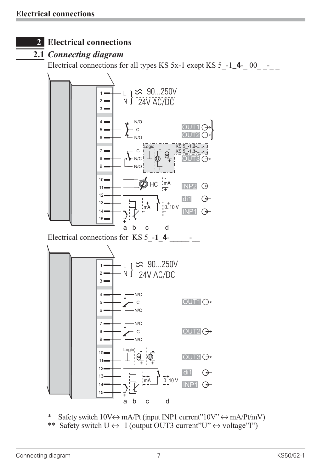# **2 Electrical connections**

## **2.1** *Connecting diagram*

Electrical connections for all types KS  $5x-1$  exept KS  $5$   $-1_4$ - 00  $-$ 



\* Safety switch  $10V \leftrightarrow mA/Pt$  (input INP1 current" $10V' \leftrightarrow mA/Pt/mV$ )<br>\*\* Safety switch  $U \leftrightarrow U$  (output OUT3 current" $U' \leftrightarrow$  voltage" $I''$ ) Safety switch  $U \leftrightarrow I$  (output OUT3 current"U"  $\leftrightarrow$  voltage"I")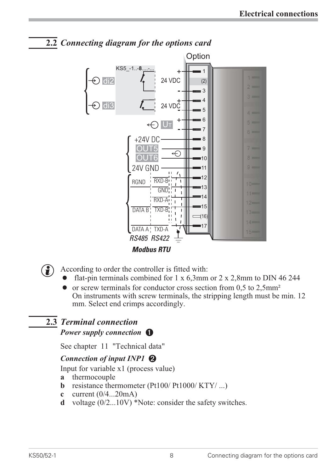

# **2.2** *Connecting diagram for the options card*

- 
- According to order the controller is fitted with:<br>
 flat-pin terminals combined for  $1 \times 6,3$  mm
	- flat-pin terminals combined for 1 x 6,3mm or 2 x 2,8mm to DIN 46 244<br>• or screw terminals for conductor cross section from 0,5 to 2,5mm<sup>2</sup><br>On instruments with screw terminals, the stripping length must be min. 1  $\bullet$  or screw terminals for conductor cross section from 0,5 to 2,5mm<sup>2</sup> On instruments with screw terminals, the stripping length must be min. 12 mm. Select end crimps accordingly.

# **2.3** *Terminal connection*

*Power supply connection*  $\bigcirc$ 

See chapter 11 "Technical data"

## *Connection of input INP1 2*

Input for variable x1 (process value)

- **a** thermocouple
- **b** resistance thermometer (Pt100/ Pt1000/ KTY/ ...)
- **c** current (0/4...20mA)
- **d** voltage (0/2...10V) \*Note: consider the safety switches.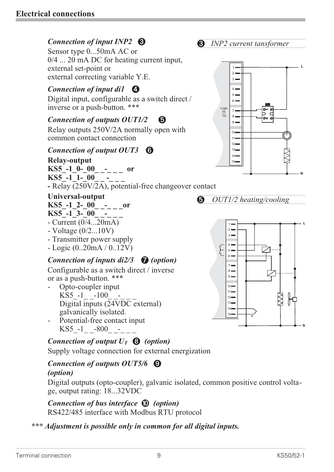## *Connection of input INP2* **3**

Sensor type 0...50mA AC or 0/4 ... 20 mA DC for heating current input, external set-point or external correcting variable Y.E.

## *Connection of input di1*  $\Phi$

Digital input, configurable as a switch direct / inverse or a push-button. \*\*\*

## *Connection of outputs OUT1/2 5*

Relay outputs 250V/2A normally open with common contact connection

#### *Connection of output OUT3 6*

**Relay-output**  $KSS_$ -1<sub>-</sub>0-<sub>-</sub>00<sub>----</sub> or

 $KSS$ <sup>-1</sup>-1-00

**-** Relay (250V/2A), potential-free changeover contact

#### **Universal-output**

**KS5\_-1\_2-\_00\_ \_-\_ \_ \_or**

- KS5<sup>-</sup>-1<sup>-3</sup>-<sup>00</sup><sup>-</sup>
- Current (0/4...20mA)
- Voltage (0/2...10V)
- Transmitter power supply
- Logic (0..20mA / 0..12V)

# *Connection of inputs di2/3 7 (option)*

Configurable as a switch direct / inverse or as a push-button. \*\*\*

- Opto-coupler input  $KSS -1$   $-100$ Digital inputs (24VDC external) galvanically isolated.
- Potential-free contact input  $KSS -1 -800 -$

# *Connection of output*  $U_T$  **8** *(option)*

Supply voltage connection for external energization

#### *Connection of outputs OUT5/6 9 (option)*

Digital outputs (opto-coupler), galvanic isolated, common positive control voltage, output rating: 18...32VDC

*Connection of bus interface 0 (option)* RS422/485 interface with Modbus RTU protocol

## *\*\*\* Adjustment is possible only in common for all digital inputs.*

*3 INP2 current tansformer*



*5 OUT1/2 heating/cooling*

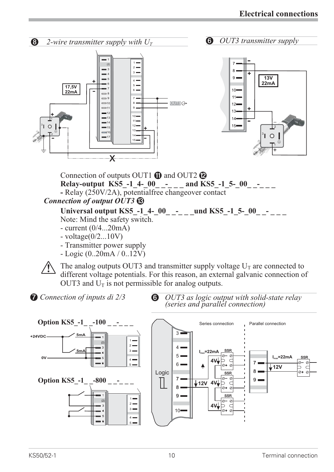

Universal output KS5 -1 4- 00 - und KS5 -1 5- 00 -Note: Mind the safety switch.

- current (0/4...20mA)
- voltage(0/2...10V)
- Transmitter power supply
- Logic (0..20mA / 0..12V)

The analog outputs OUT3 and transmitter supply voltage  $U_T$  are connected to different voltage potentials. For this reason, an external galvanic connection country and  $U_T$  is not permissible for analog outputs different voltage potentials. For this reason, an external galvanic connection of OUT3 and  $U_T$  is not permissible for analog outputs.

*7 Connection of inputs di 2/3*

*6 OUT3 as logic output with solid-state relay (series and parallel connection)*

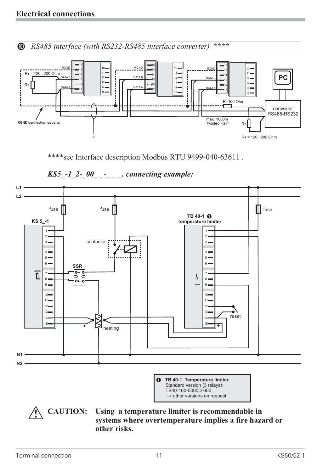*0 RS485 interface (with RS232-RS485 interface converter)* **\*\*\*\***



\*\*\*\*see Interface description Modbus RTU 9499-040-63611 .



#### *KS5\_-1\_2-\_00\_ \_-\_ \_ \_. connecting example:*

**systems where overtemperature implies a fire hazard or other risks.**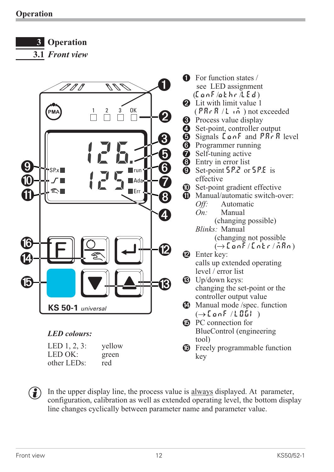**3 Operation**

**3.1** *Front view*



 $\left(\begin{array}{c}\n\bullet \\
\bullet\n\end{array}\right)$  In the upper display line, the process value is <u>always</u> displayed. At parameter, configuration, calibration as well as extended operating level, the bottom display line changes cyclically between parameter name and parameter value.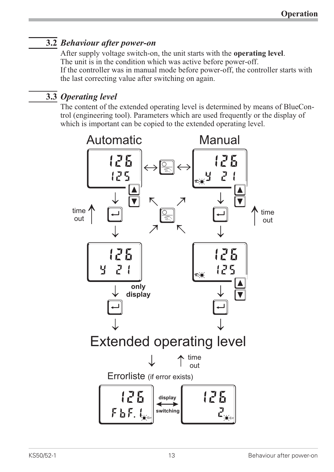# **3.2** *Behaviour after power-on*

After supply voltage switch-on, the unit starts with the **operating level**. The unit is in the condition which was active before power-off. If the controller was in manual mode before power-off, the controller starts with the last correcting value after switching on again.

# **3.3** *Operating level*

The content of the extended operating level is determined by means of BlueControl (engineering tool). Parameters which are used frequently or the display of which is important can be copied to the extended operating level.

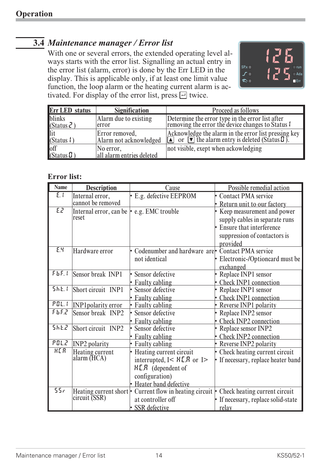# **3.4** *Maintenance manager / Error list*

With one or several errors, the extended operating level always starts with the error list. Signalling an actual entry in the error list (alarm, error) is done by the Err LED in the display. This is applicable only, if at least one limit value function, the loop alarm or the heating current alarm is activated. For display of the error list, press  $\Box$  twice.



| <b>Err LED</b> status                                                                                            | <b>Signification</b>                     | Proceed as follows                                                                                                                                              |
|------------------------------------------------------------------------------------------------------------------|------------------------------------------|-----------------------------------------------------------------------------------------------------------------------------------------------------------------|
| blinks<br>(Status $\bar{c}$ )                                                                                    | Alarm due to existing<br>error           | Determine the error type in the error list after<br>removing the error the device changes to Status I                                                           |
| lit<br>(Status 1)                                                                                                | Error removed,<br>Alarm not acknowledged | Acknowledge the alarm in the error list pressing key<br>$\boxed{\blacktriangle}$ or $\boxed{\blacktriangledown}$ the alarm entry is deleted (Status <i>I</i> ). |
| $\begin{array}{c}\n\hline\n\text{off} \\ \hline\n\text{off} \\ \hline\n\text{Status } \overline{u}\n\end{array}$ | No error,<br>all alarm entries deleted   | not visible, exept when ackowledging                                                                                                                            |

#### **Error list:**

| <b>Name</b> | <b>Description</b>        | Cause                                                                 | Possible remedial action                    |
|-------------|---------------------------|-----------------------------------------------------------------------|---------------------------------------------|
| E.1         | Internal error,           | E.g. defective EEPROM                                                 | <b>Contact PMA</b> service                  |
|             | cannot be removed         |                                                                       | - Return unit to our factory                |
| EZ          | Internal error, can be    | . e.g. EMC trouble                                                    | • Keep measurement and power                |
|             | reset                     |                                                                       | supply cables in separate runs              |
|             |                           |                                                                       | - Ensure that interference                  |
|             |                           |                                                                       | suppression of contactors is                |
|             |                           |                                                                       | provided                                    |
| E.Y         | Hardware error            | Codenumber and hardware are <sup>-</sup> Contact PMA service          |                                             |
|             |                           | not identical                                                         | Electronic-/Optioncard must be<br>exchanged |
| FbF.1       | Sensor break INP1         | • Sensor defective                                                    | • Replace INP1 sensor                       |
|             |                           | • Faulty cabling                                                      | • Check INP1 connection                     |
| 5hL1        | Short circuit INP1        | · Sensor defective                                                    | - Replace INP1 sensor                       |
|             |                           | • Faulty cabling                                                      | - Check INP1 connection                     |
| PGL.1       | <b>INP1polarity</b> error | • Faulty cabling                                                      | • Reverse INP1 polarity                     |
| FbF2        | Sensor break INP2         | Sensor defective                                                      | • Replace INP2 sensor                       |
|             |                           | • Faulty cabling                                                      | - Check INP2 connection                     |
| 5662        | Short circuit INP2        | Sensor defective                                                      | • Replace sensor INP2                       |
|             |                           | • Faulty cabling                                                      | • Check INP2 connection                     |
| POLZ.       | <b>INP2</b> polarity      | • Faulty cabling                                                      | - Reverse INP2 polarity                     |
| <b>HER</b>  | Heating current           | - Heating current circuit                                             | - Check heating current circuit             |
|             | alarm (HCA)               | interrupted, $I < H\llbracket R \rrbracket$ or $I >$                  | - If necessary, replace heater band         |
|             |                           | H.L.R (dependent of                                                   |                                             |
|             |                           | configuration)                                                        |                                             |
|             |                           | • Heater band defective                                               |                                             |
| 55r         |                           | Heating current short $\cdot$ Current flow in heating circuit $\cdot$ | Check heating current circuit               |
|             | circuit (SSR)             | at controller off                                                     | - If necessary, replace solid-state         |
|             |                           | · SSR defective                                                       | relay                                       |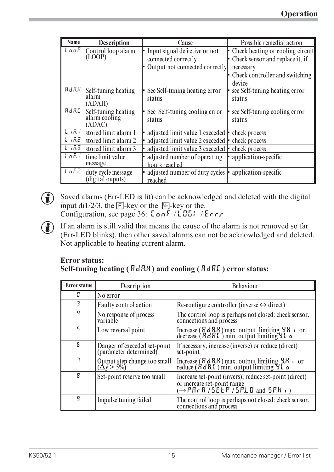| <b>Name</b>     | <b>Description</b>                             | Cause                                                                                    | Possible remedial action                                                                                                           |
|-----------------|------------------------------------------------|------------------------------------------------------------------------------------------|------------------------------------------------------------------------------------------------------------------------------------|
| Loop            | Control loop alarm<br>(LOOP)                   | • Input signal defective or not<br>connected correctly<br>Output not connected correctly | • Check heating or cooling circuit<br>• Check sensor and replace it, if<br>necessary<br>• Check controller and switching<br>device |
| $R$ $d$ $R$ $R$ | Self-tuning heating<br>alarm<br>(ADAH)         | • See Self-tuning heating error<br>status                                                | • see Self-tuning heating error<br>status                                                                                          |
| RdRE            | Self-tuning heating<br>alarm cooling<br>(ADAC) | See Self-tuning cooling error<br>status                                                  | see Self-tuning cooling error<br>status                                                                                            |
| $L$ $(n, 1)$    | stored limit alarm 1                           | • adjusted limit value 1 exceeded $\cdot$ check process                                  |                                                                                                                                    |
| L m2            | stored limit alarm 2                           | • adjusted limit value 2 exceeded • check process                                        |                                                                                                                                    |
| 1.63            | stored limit alarm 3                           | • adjusted limit value 3 exceeded • check process                                        |                                                                                                                                    |
| 1nF.1           | time limit value<br>message                    | • adjusted number of operating $  \cdot  $ application-specific<br>hours reached         |                                                                                                                                    |
| InF.2           | duty cycle message<br>(digital ouputs)         | • adjusted number of duty cycles • application-specific<br>reached                       |                                                                                                                                    |

 $\bigodot$  Saved alarms (Err-LED is lit) can be acknowledged and deleted with the digital input di1/2/3, the  $\overline{E}$ -key or the  $\overline{E}$ -key or the. Configuration, see page 36: LonF / LOGI / Err.r

 $\bigodot$  If an alarm is still valid that means the cause of the alarm is not removed so far (Err-LED blinks), then other saved alarms can not be acknowledged and deleted. Not applicable to heating current alarm.

#### **Error status: Self-tuning heating ( ADA.H) and cooling ( ADA.C) error status:**

| <b>Error</b> status | Description                                            | Behaviour                                                                                                                                                                  |
|---------------------|--------------------------------------------------------|----------------------------------------------------------------------------------------------------------------------------------------------------------------------------|
| П                   | No error                                               |                                                                                                                                                                            |
| ₹                   | Faulty control action                                  | Re-configure controller (inverse $\leftrightarrow$ direct)                                                                                                                 |
| Ч                   | No response of process<br>variable                     | The control loop is perhaps not closed: check sensor,<br>connections and process                                                                                           |
| 5                   | Low reversal point                                     | Increase $(RdRH)$ max. output limiting $4H \cdot$ or decrease $(RdRL)$ min. output limiting $4L \cdot$                                                                     |
| Б                   | Danger of exceeded set-point<br>(parameter determined) | If necessary, increase (inverse) or reduce (direct)<br>set-point                                                                                                           |
|                     | Output step change too small<br>( $\Delta y > 5\%$ )   | Increase $(RdRR)$ max. output limiting $4R_1$ or reduce $(RdRL)$ min. output limiting $4L_2$                                                                               |
| 8                   | Set-point reserve too small                            | Increase set-point (invers), reduce set-point (direct)<br>or increase set-point range<br>$(\rightarrow P R \cdot R / 5E E P / 5P \cdot L \cdot D$ and $5P \cdot H \cdot D$ |
| 9                   | Impulse tuning failed                                  | The control loop is perhaps not closed: check sensor,<br>connections and process                                                                                           |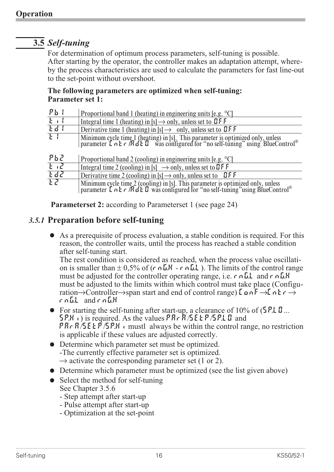# **3.5** *Self-tuning*

For determination of optimum process parameters, self-tuning is possible. After starting by the operator, the controller makes an adaptation attempt, whereby the process characteristics are used to calculate the parameters for fast line-out to the set-point without overshoot.

#### **The following parameters are optimized when self-tuning: Parameter set 1:**

| $Pb$ (        | Proportional band 1 (heating) in engineering units [e.g. $^{\circ}$ C]                                                                                                                                                       |
|---------------|------------------------------------------------------------------------------------------------------------------------------------------------------------------------------------------------------------------------------|
| $E + 1$       | Integral time 1 (heating) in [s] $\rightarrow$ only, unless set to <b>DFF</b>                                                                                                                                                |
| Edd           | Derivative time 1 (heating) in $[s] \rightarrow$ only, unless set to <b>QFF</b>                                                                                                                                              |
| F             | Minimum cycle time 1 (heating) in [s]. This parameter is optimized only, unless parameter $\mathbf{L} \cap \mathbf{k} \cap \mathbf{R} \subset \mathbf{B}$ was configured for "no self-tuning" using BlueControl <sup>®</sup> |
| ዖኔረ           | Proportional band 2 (cooling) in engineering units [e.g. $^{\circ}$ C]                                                                                                                                                       |
| $E_{\rm eff}$ | Integral time 2 (cooling) in [s] $\rightarrow$ only, unless set to <b>QFF</b>                                                                                                                                                |
| Edd           | Derivative time 2 (cooling) in [s] $\rightarrow$ only, unless set to LFF                                                                                                                                                     |
| ιZ            | Minimum cycle time 2 (cooling) in [s]. This parameter is optimized only, unless parameter $\mathbf{L} \cap \mathbf{k} \cap \mathbf{R}$ of $\mathbf{L}$ was configured for "no self-tuning" using BlueControl <sup>®</sup>    |

**Parameterset 2:** according to Parameterset 1 (see page 24)

## *3.5.1* **Preparation before self-tuning**

• As a prerequisite of process evaluation, a stable condition is required. For this reason, the controller waits, until the process has reached a stable condition after self-tuning start.

The rest condition is considered as reached, when the process value oscillation is smaller than  $\pm$  0,5% of (r nGH - r nGL). The limits of the control range must be adjusted for the controller operating range, i.e.  $r \nabla \cdot L \cdot L$  and  $r \nabla \cdot L \cdot H$ must be adjusted to the limits within which control must take place (Configuration $\rightarrow$ Controller $\rightarrow$ span start and end of control range) LonF $\rightarrow$ Lntr $\rightarrow$ rnG.L and rnG.H

- For starting the self-tuning after start-up, a clearance of 10% of (5P.LO...<br>5P.H<sub>1</sub>) is required. As the values  $PR \r R / 5E \r R / 5P \r L \r D$  and<br> $PR \r R / 5E \r R / 5P \r H \r L$  mustl always be within the control range, no restricti • For starting the self-tuning after start-up, a clearance of 10% of  $(5P.L.D...$ <br>5P.H<sub>1</sub>) is required. As the values PR<sub>r</sub> R/SE LP/SP.LD and is applicable if these values are adjusted correctly.
- Determine which parameter set must be optimized. -The currently effective parameter set is optimized.  $\rightarrow$  activate the corresponding parameter set (1 or 2).
- $\bullet$  Determine which parameter must be optimized (see the list given above)
- $\bullet$  Select the method for self-tuning See Chapter 3.5.6
	- Step attempt after start-up
	- Pulse attempt after start-up
	- Optimization at the set-point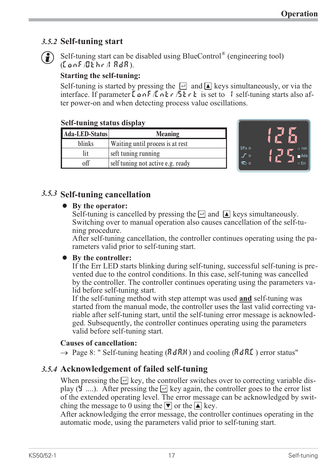## *3.5.2* **Self-tuning start**



G Self-tuning start can be disabled using BlueControl® (engineering tool)  $(ConF/Gehr/IBdR)$ .

## **Starting the self-tuning:**

Self-tuning is started by pressing the  $\Box$  and  $\Box$  keys simultaneously, or via the interface. If parameter L on F  $\sqrt{h}$  n  $\frac{1}{2}$   $\frac{1}{2}$  is set to 1 self-tuning starts also after power-on and when detecting process value oscillations.

#### **Self-tuning status display**

| Ada-LED-Status | <b>Meaning</b>                    |
|----------------|-----------------------------------|
| blinks         | Waiting until process is at rest  |
| lit            | seft tuning running               |
| off            | self tuning not active e.g. ready |



# *3.5.3* **Self-tuning cancellation**

## • By the operator:

Self-tuning is cancelled by pressing the  $\Box$  and  $\Box$  keys simultaneously. Switching over to manual operation also causes cancellation of the self-tuning procedure.

After self-tuning cancellation, the controller continues operating using the parameters valid prior to self-tuning start.

## • By the controller:

If the Err LED starts blinking during self-tuning, successful self-tuning is prevented due to the control conditions. In this case, self-tuning was cancelled by the controller. The controller continues operating using the parameters valid before self-tuning start.

If the self-tuning method with step attempt was used **and** self-tuning was started from the manual mode, the controller uses the last valid correcting variable after self-tuning start, until the self-tuning error message is acknowledged. Subsequently, the controller continues operating using the parameters valid before self-tuning start.

## **Causes of cancellation:**

 $\rightarrow$  Page 8: " Self-tuning heating (AdRH) and cooling (AdRL) error status"

# *3.5.4* **Acknowledgement of failed self-tuning**

When pressing the  $\Box$  key, the controller switches over to correcting variable display ( $\overline{Y}$  ....). After pressing the  $\overline{Y}$  key again, the controller goes to the error list of the extended operating level. The error message can be acknowledged by switching the message to 0 using the  $\blacktriangledown$  or the  $\blacktriangle$  key.

After acknowledging the error message, the controller continues operating in the automatic mode, using the parameters valid prior to self-tuning start.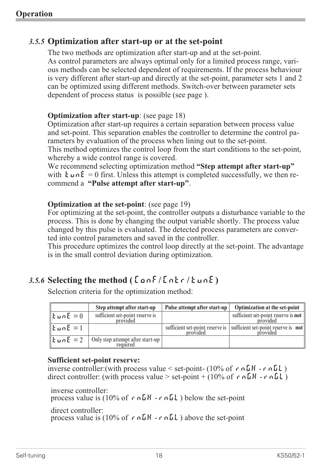## *3.5.5* **Optimization after start-up or at the set-point**

The two methods are optimization after start-up and at the set-point. As control parameters are always optimal only for a limited process range, various methods can be selected dependent of requirements. If the process behaviour is very different after start-up and directly at the set-point, parameter sets 1 and 2 can be optimized using different methods. Switch-over between parameter sets dependent of process status is possible (see page ).

#### **Optimization after start-up**: (see page 18)

Optimization after start-up requires a certain separation between process value and set-point. This separation enables the controller to determine the control parameters by evaluation of the process when lining out to the set-point. This method optimizes the control loop from the start conditions to the set-point, whereby a wide control range is covered.

We recommend selecting optimization method **"Step attempt after start-up"** with  $\mathbf{E} \cup \mathbf{n} \mathbf{E} = 0$  first. Unless this attempt is completed successfully, we then recommend a **"Pulse attempt after start-up"**.

#### **Optimization at the set-point**: (see page 19)

For optimizing at the set-point, the controller outputs a disturbance variable to the process. This is done by changing the output variable shortly. The process value changed by this pulse is evaluated. The detected process parameters are converted into control parameters and saved in the controller.

This procedure optimizes the control loop directly at the set-point. The advantage is in the small control deviation during optimization.

# $3.5.6$  **Selecting the method** ( $\begin{bmatrix} 2 & a & b \\ c & d & d \end{bmatrix}$ )

|                                  | Step attempt after start-up                  | Pulse attempt after start-up                | Optimization at the set-point                   |
|----------------------------------|----------------------------------------------|---------------------------------------------|-------------------------------------------------|
| $\ $ Łun $E=0$                   | sufficient set-point reserve is<br>provided  |                                             | sufficient set-point reserve is not<br>provided |
| $\mathbf{k}$ un $\mathbf{E} = 1$ |                                              | sufficient set-point reserve is<br>provided | sufficient set-point reserve is not<br>provided |
| $\mathbf{E}$ un $\mathbf{E} = 2$ | Only step attempt after start-up<br>required |                                             |                                                 |

Selection criteria for the optimization method:

#### **Sufficient set-point reserve:**

inverse controller: (with process value  $\le$  set-point- (10% of r nGH - r nGL) direct controller: (with process value  $>$  set-point + (10% of r  $n \Delta H$  -r  $n \Delta L$ )

inverse controller: process value is (10% of  $r \nightharpoonup GH - r \nightharpoonup GL$ ) below the set-point direct controller: process value is (10% of  $r \nightharpoonup GH - r \nightharpoonup GL$ ) above the set-point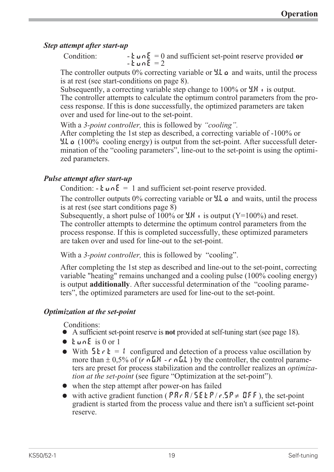#### *Step attempt after start-up*

Condition:  $\mathbf{L} \cdot \mathbf{L} = \mathbf{L} \cdot \mathbf{L} \cdot \mathbf{L} = 0$  and sufficient set-point reserve provided or

The controller outputs  $0\%$  correcting variable or  $\sharp L \circ \sharp$  and waits, until the process is at rest (see start-conditions on page 8).

Subsequently, a correcting variable step change to  $100\%$  or  $\frac{1}{2}$ H is output. The controller attempts to calculate the optimum control parameters from the process response. If this is done successfully, the optimized parameters are taken over and used for line-out to the set-point.

With a *3-point controller,* this is followed by *"cooling".*

After completing the 1st step as described, a correcting variable of -100% or Y.Lo (100% cooling energy) is output from the set-point. After successfull determination of the "cooling parameters", line-out to the set-point is using the optimized parameters.

#### *Pulse attempt after start-up*

Condition:  $\cdot$  **t**  $\mu$   $\Lambda$ **E** = 1 and sufficient set-point reserve provided.

The controller outputs  $0\%$  correcting variable or  $\mathcal{L}$  and waits, until the process is at rest (see start conditions page 8)

Subsequently, a short pulse of 100% or  $\frac{1}{2}$ .H is output (Y=100%) and reset. The controller attempts to determine the optimum control parameters from the process response. If this is completed successfully, these optimized parameters are taken over and used for line-out to the set-point.

With a *3-point controller,* this is followed by "cooling".

After completing the 1st step as described and line-out to the set-point, correcting variable "heating" remains unchanged and a cooling pulse (100% cooling energy) is output **additionally**. After successful determination of the "cooling parameters", the optimized parameters are used for line-out to the set-point.

## *Optimization at the set-point*

- Conditions:<br>● A sufficient set-point reserve is **not** provided at self-tuning start (see page 18).
- 
- A sufficient set-point reserve is **not** provided at self-tuning start (see page 18).<br>
  $k \ln \pi E$  is 0 or 1<br>
 With  $5k \cdot k = 1$  configured and detection of a process value oscillation •  $\frac{1}{\sqrt{2}}$  with  $\frac{5}{2}$   $\frac{1}{\sqrt{2}}$  for  $\frac{1}{2}$  = more than  $\pm 0.5$ With  $5k \rvert k = 1$  configured and detection of a process value oscillation by<br>more than  $\pm 0.5\%$  of  $(r \nvert k \rvert - r \nvert k \rvert)$  by the controller, the control parame-<br>ters are preset for process stabilization and the controller more than  $\pm$  0,5% of (r nGH - r nGL) by the controller, the control parameters are preset for process stabilization and the controller realizes an *optimization at the set-point* (see figure "Optimization at the set-point").
- 
- when the step attempt after power-on has failed<br>• with active gradient function ( $PR \cdot R / 5E \cdot P / r$  gradient is started from the process value and the • with active gradient function ( $PR \cdot R / 5E E P / r.5P \neq BFF$ ), the set-point gradient is started from the process value and there isn't a sufficient set-point reserve. gradient is started from the process value and there isn't a sufficient set-point reserve.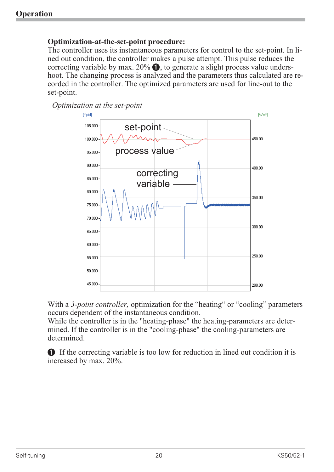#### **Optimization-at-the-set-point procedure:**

The controller uses its instantaneous parameters for control to the set-point. In lined out condition, the controller makes a pulse attempt. This pulse reduces the correcting variable by max.  $20\%$   $\bullet$ , to generate a slight process value undershoot. The changing process is analyzed and the parameters thus calculated are recorded in the controller. The optimized parameters are used for line-out to the set-point.

*Optimization at the set-point*



With a 3-*point controller*, optimization for the "heating" or "cooling" parameters occurs dependent of the instantaneous condition.

While the controller is in the "heating-phase" the heating-parameters are determined. If the controller is in the "cooling-phase" the cooling-parameters are determined.

1 If the correcting variable is too low for reduction in lined out condition it is increased by max. 20%.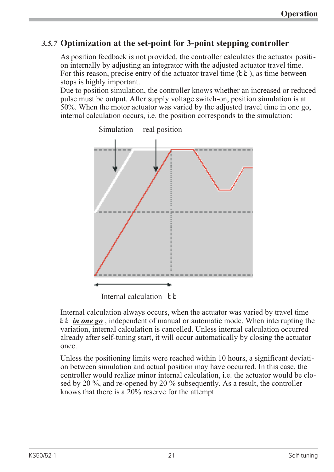## *3.5.7* **Optimization at the set-point for 3-point stepping controller**

As position feedback is not provided, the controller calculates the actuator position internally by adjusting an integrator with the adjusted actuator travel time. For this reason, precise entry of the actuator travel time  $(\mathbf{k} \mathbf{k})$ , as time between stops is highly important.

Due to position simulation, the controller knows whether an increased or reduced pulse must be output. After supply voltage switch-on, position simulation is at 50%. When the motor actuator was varied by the adjusted travel time in one go, internal calculation occurs, i.e. the position corresponds to the simulation:



Simulation real position

Internal calculation  $\mathbf{F}$ 

Internal calculation always occurs, when the actuator was varied by travel time  $\mathbf{k} \cdot \mathbf{k}$  *in one go*, independent of manual or automatic mode. When interrupting the variation, internal calculation is cancelled. Unless internal calculation occurred already after self-tuning start, it will occur automatically by closing the actuator once.

Unless the positioning limits were reached within 10 hours, a significant deviation between simulation and actual position may have occurred. In this case, the controller would realize minor internal calculation, i.e. the actuator would be closed by 20 %, and re-opened by 20 % subsequently. As a result, the controller knows that there is a 20% reserve for the attempt.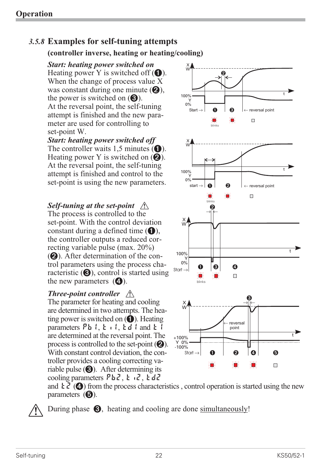# *3.5.8* **Examples for self-tuning attempts**

#### **(controller inverse, heating or heating/cooling)**

*Start: heating power switched on* Heating power Y is switched off  $(1)$ . When the change of process value X was constant during one minute  $(Q)$ , the power is switched on  $\Theta$ ). At the reversal point, the self-tuning attempt is finished and the new parameter are used for controlling to set-point W.

*Start: heating power switched off* The controller waits 1,5 minutes  $(1)$ . Heating power Y is switched on  $(Q)$ . At the reversal point, the self-tuning attempt is finished and control to the set-point is using the new parameters.

# *Self-tuning at the set-point*  $\bigwedge$

The process is controlled to the set-point. With the control deviation constant during a defined time  $(1)$ , the controller outputs a reduced correcting variable pulse (max. 20%) (2). After determination of the control parameters using the process characteristic  $(3)$ , control is started using the new parameters  $\left( \right)$ .

#### *Three-point controller*  $\bigwedge$

The parameter for heating and cooling are determined in two attempts. The heating power is switched on  $\left( \bullet \right)$ . Heating parameters  $P_{b}$ ,  $t$ ,  $t$ ,  $t$ ,  $t$  and  $t$  1 are determined at the reversal point. The process is controlled to the set-point  $(2)$ . With constant control deviation, the controller provides a cooling correcting variable pulse  $\Theta$ ). After determining its cooling parameters  $Pb2$ ,  $t_12$ ,  $t_2$ 



and  $\mathbf{t} \mathbf{z}^{\prime}$  (4) from the process characteristics, control operation is started using the new parameters  $(5)$ .

During phase  $\bigotimes$ , heating and cooling are done simultaneously!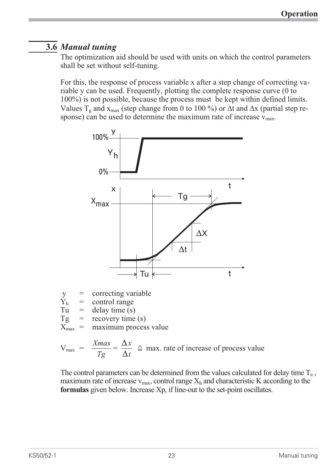# **3.6** *Manual tuning*

The optimization aid should be used with units on which the control parameters shall be set without self-tuning.

For this, the response of process variable x after a step change of correcting variable y can be used. Frequently, plotting the complete response curve (0 to 100%) is not possible, because the process must be kept within defined limits. Values  $T_g$  and  $x_{max}$  (step change from 0 to 100 %) or  $\Delta t$  and  $\Delta x$  (partial step response) can be used to determine the maximum rate of increase  $v_{\text{max}}$ .



 $y =$  correcting variable<br>  $Y<sub>h</sub> =$  control range

 $\overline{Y}_h$  = control range<br>
Tu = delay time (s)

Tu = delay time (s)<br>  $Tg$  = recovery time

 $Tg$  = recovery time (s)<br> $X_{\text{max}}$  = maximum proces maximum process value

 $V_{\text{max}} = \frac{Xmax}{T}$  $\frac{m}{Tg} = \frac{\Delta}{\Delta}$ *x*  $\frac{d}{t} \triangleq$  max. rate of increase of process value

The control parameters can be determined from the values calculated for delay time  $T_u$ , maximum rate of increase  $v_{\text{max}}$ , control range  $X_h$  and characteristic K according to the **formulas** given below. Increase Xp, if line-out to the set-point oscillates.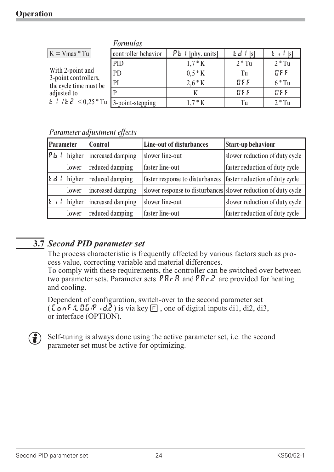|                                                                       | <b>Formulas</b>     |                        |            |                            |
|-----------------------------------------------------------------------|---------------------|------------------------|------------|----------------------------|
| $K = Vmax * Tu$                                                       | controller behavior | $P_{b}$ { [phy. units] | $Ed$ $[s]$ | $\left  \cdot \right $ [s] |
|                                                                       | <b>PID</b>          | $1.7 * K$              | $2 * Tu$   | $2 * Tu$                   |
| With 2-point and                                                      | PD                  | $0.5 * K$              | Tu         | BFF                        |
| 3-point controllers,<br>the cycle time must be                        | PI                  | $2.6 * K$              | 8F F       | $6 * Tu$                   |
| adjusted to                                                           |                     |                        | BFF        | BFF                        |
| <b>L</b> $\ell$ / <b>L</b> $\ell$ $\leq$ 0.25 * Tu   3-point-stepping |                     | $1.7 * K$              | Tu         | $2 * Tu$                   |

#### *Parameter adjustment effects*

| Parameter |        | <b>Control</b>    | <b>Line-out of disturbances</b>                                | <b>Start-up behaviour</b>      |
|-----------|--------|-------------------|----------------------------------------------------------------|--------------------------------|
| թե        | higher | increased damping | slower line-out                                                | slower reduction of duty cycle |
|           | lower  | reduced damping   | faster line-out                                                | faster reduction of duty cycle |
| じす        | higher | reduced damping   | faster response to disturbances                                | faster reduction of duty cycle |
|           | lower  | increased damping | slower response to disturbances slower reduction of duty cycle |                                |
|           | higher | increased damping | slower line-out                                                | slower reduction of duty cycle |
|           | lower  | reduced damping   | faster line-out                                                | faster reduction of duty cycle |

# **3.7** *Second PID parameter set*

The process characteristic is frequently affected by various factors such as process value, correcting variable and material differences.

To comply with these requirements, the controller can be switched over between two parameter sets. Parameter sets  $\overline{PR} \cdot \overline{R}$  and  $\overline{PR} \cdot \overline{R}$  are provided for heating and cooling.

Dependent of configuration, switch-over to the second parameter set (  $\overline{\text{L}}$  on F  $\Lambda$  O  $\overline{\text{L}}$   $\overline{\text{L}}$   $\overline{\text{L}}$  and  $\overline{\text{L}}$ ) is via key  $\overline{\text{E}}$ , one of digital inputs di1, di2, di3, or interface (OPTION).

 $\binom{9}{1}$  Self-tuning is always done using the active parameter set, i.e. the second parameter set must be active for optimizing.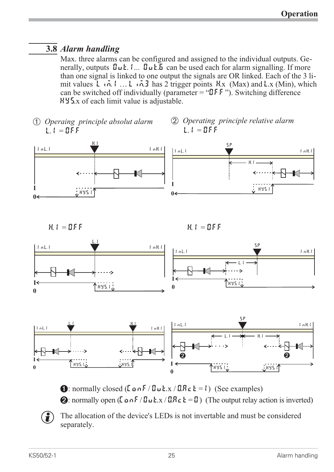# **3.8** *Alarm handling*

Max. three alarms can be configured and assigned to the individual outputs. Generally, outputs  $\mathbf{D}_u$ **t.**  $\mathbf{L}_u$ .  $\mathbf{D}_u$ **E.** Eq. can be used each for alarm signalling. If more than one signal is linked to one output the signals are OR linked. Each of the 3 limit values Lim.1 … Lim.3 has 2 trigger points H.x (Max) and L.x (Min), which can be switched off individually (parameter = " $\mathbb{I}$ FF"). Switching difference HYS.x of each limit value is adjustable.

*Ü Operaing principle absolut alarm L.1 = OFF*

*H.1 = OFF*

*\* Operating principle relative alarm L.1 = OFF*

SP

HYS.1

H.1



*H.1 = OFF*





**1:** normally closed ( $\text{L}$   $\text{a}$   $\text{a}$   $\text{F}$  /  $\text{L}$  $\text{u}$   $\text{L}$  x /  $\text{L}$  $\text{R}$  $\text{c}$   $\text{k}$  = 1) (See examples) 2: normally open  $(L \circ nF / \mathbb{Z} \cup k.x / \mathbb{Z} \times k = \mathbb{Z})$  (The output relay action is inverted)

 $\circled{f}$  The allocation of the device's LEDs is not invertable and must be considered separately.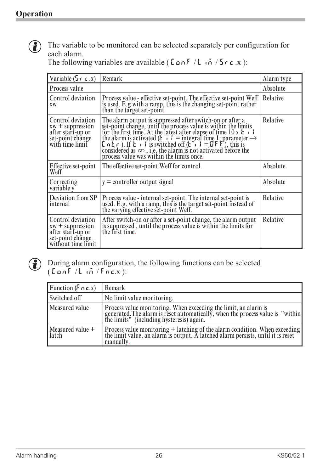

 $\left(\begin{matrix} \bullet \\ \bullet \end{matrix}\right)$  The variable to be monitored can be selected separately per configuration for each alarm.

| Variable $(5 \rceil c \rceil x)$                                                                       | Remark                                                                                                                                                                                                                                                                                                                                                                                                                                                                                                                                                        | Alarm type |
|--------------------------------------------------------------------------------------------------------|---------------------------------------------------------------------------------------------------------------------------------------------------------------------------------------------------------------------------------------------------------------------------------------------------------------------------------------------------------------------------------------------------------------------------------------------------------------------------------------------------------------------------------------------------------------|------------|
| Process value                                                                                          |                                                                                                                                                                                                                                                                                                                                                                                                                                                                                                                                                               | Absolute   |
| Control deviation<br><b>XW</b>                                                                         | Process value - effective set-point. The effective set-point Weff<br>is used. E.g with a ramp, this is the changing set-point rather<br>than the target set-point.                                                                                                                                                                                                                                                                                                                                                                                            | Relative   |
| Control deviation<br>$xw +$ suppression<br>after start-up or<br>set-point change<br>with time limit    | The alarm output is suppressed after switch-on or after a<br>set-point change, until the process value is within the limits<br>for the first time. At the latest after elapse of time 10 x $\mathbf{E} \cdot \mathbf{I}$<br>the alarm is activated ( <b>k</b> $\cdot$ <b>i</b> = integral time 1; parameter $\rightarrow$ <b>k</b> $\cdot$ <b>i c</b> $\cdot$ <b>i</b> is switched off ( <b>k</b> $\cdot$ <b>i</b> = <b>i F f</b> ), this is<br>considered as $\infty$ , i.e. the alarm is not activated before the process value was within the limits once. | Relative   |
| Effective set-point<br>Weff                                                                            | The effective set-point Weff for control.                                                                                                                                                                                                                                                                                                                                                                                                                                                                                                                     | Absolute   |
| Correcting<br>variable y                                                                               | $y =$ controller output signal                                                                                                                                                                                                                                                                                                                                                                                                                                                                                                                                | Absolute   |
| Deviation from SP<br>internal                                                                          | Process value - internal set-point. The internal set-point is<br>used. E.g. with a ramp, this is the target set-point instead of the varying effective set-point Weff.                                                                                                                                                                                                                                                                                                                                                                                        | Relative   |
| Control deviation<br>$xw +$ suppression<br>after start-up or<br>set-point change<br>without time limit | After switch-on or after a set-point change, the alarm output<br>is suppressed, until the process value is within the limits for<br>the first time.                                                                                                                                                                                                                                                                                                                                                                                                           | Relative   |

The following variables are available ( $\text{L}$  on  $\text{F}$  / $\text{L}$  on  $\text{F}$  / $\text{S}$   $\text{C}$   $\text{C}$   $\text{C}$   $\text{C}$   $\text{C}$ ):



G During alarm configuration, the following functions can be selected<br>( $\int$   $\alpha$  o  $\int$  / $\int$   $\alpha$  / $\int$   $\alpha$  c.x):  $($  ConF  $/$  L in  $/$  Fnc.x  $)$ :

| Function ( $F \cap c.x$ )              | Remark                                                                                                                                                                                         |
|----------------------------------------|------------------------------------------------------------------------------------------------------------------------------------------------------------------------------------------------|
| Switched off                           | No limit value monitoring.                                                                                                                                                                     |
| Measured value                         | Process value monitoring. When exceeding the limit, an alarm is<br>generated. The alarm is reset automatically, when the process value is "within<br>the limits" (including hysteresis) again. |
| $Mear (a)$ Measured value $+$<br>latch | Process value monitoring $+$ latching of the alarm condition. When exceeding the limit value, an alarm is output. A latched alarm persists, until it is reset<br>manually.                     |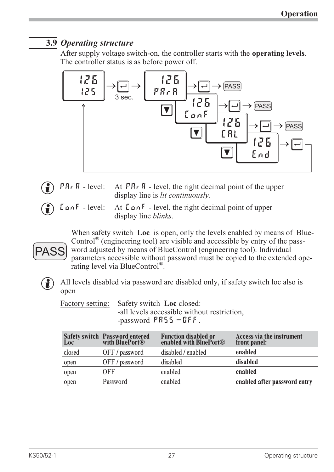# **3.9** *Operating structure*

After supply voltage switch-on, the controller starts with the **operating levels**. The controller status is as before power off.



- **PRr A** level: At **PRr A** level, the right decimal point of the upper<br>display line is *lit continuously*.<br>**LanF** level: At **LanF** level, the right decimal point of upper display line is *lit continuously*.
	- At  $\zeta$  on F level, the right decimal point of upper display line *blinks*.

When safety switch **Loc** is open, only the levels enabled by means of Blue-Control<sup>®</sup> (engineering tool) are visible and accessible by entry of the password adjusted by means of BlueControl (engineering tool). Individual parameters accessible without password must be copied to the extended operating level via BlueControl®. **PASS** 



All levels disabled via password are disabled only, if safety switch loc also is<br>pen<br>Factory setting: Safety switch **Loc** closed: open

Safety switch Loc closed: -all levels accessible without restriction, -password  $PAS5 = DFF$ .

|        | Safety switch Password entered<br>Loc with BluePort® | <b>Function disabled or</b><br>enabled with BluePort® | Access via the instrument<br>front panel: |
|--------|------------------------------------------------------|-------------------------------------------------------|-------------------------------------------|
| closed | OFF/password                                         | disabled / enabled                                    | enabled                                   |
| open   | OFF/password                                         | disabled                                              | disabled                                  |
| open   | 0FF                                                  | enabled                                               | enabled                                   |
| open   | Password                                             | enabled                                               | enabled after password entry              |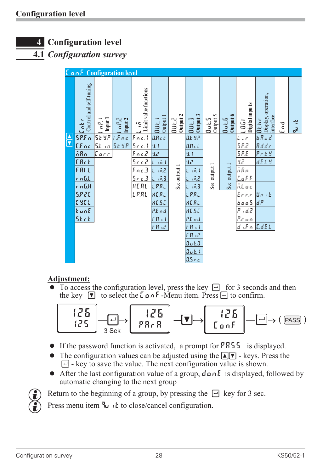# **4 Configuration level**

**4.1** *Configuration survey*

|                                                                                      |                                  |                               | <b>LonF</b> Configuration level |                                                         |                   |                         |                               |                   |                     |                                                                 |                                           |                |               |
|--------------------------------------------------------------------------------------|----------------------------------|-------------------------------|---------------------------------|---------------------------------------------------------|-------------------|-------------------------|-------------------------------|-------------------|---------------------|-----------------------------------------------------------------|-------------------------------------------|----------------|---------------|
|                                                                                      | Loker<br>Control and self-tuning | Input 1<br>$\sigma$ .         | l o P.2<br>Input 2              | $\frac{1}{2}$ in $\frac{1}{2}$<br>Limit value functions | Output<br>aut.    | Output 2<br><b>DUL2</b> | Output 3<br>23.80             | Output 5<br>Bub.5 | Output 6<br>$B = 5$ | L 0 L 1<br>Digital inpu ts                                      | Display, operation,<br>interface<br>Dt hr | لم<br>ح<br>ЦJ. | $\frac{1}{2}$ |
| $\begin{array}{ c } \hline \ \hline \ \hline \ \hline \ \hline \ \hline \end{array}$ | 5P.5n<br>LFnc                    | <u>SE 9P</u><br>$5.1 \cdot n$ | $ f_{nc} $<br>5298              | frac.1<br>5r c.1                                        | B.R.c.<br>8.1     |                         | $0.5$ MP<br>B. R <sub>c</sub> |                   |                     | $L$ or<br>5.22                                                  | $b$ Rud<br>Rddr                           |                |               |
|                                                                                      | ñRn                              | <u> Corr</u>                  |                                 | Frica                                                   | 3.2               |                         | 9.4                           |                   |                     | <b>SPE</b>                                                      | $P_r$ E Y                                 |                |               |
|                                                                                      | <b>ERcb</b>                      |                               |                                 | $5 - c$ .2                                              | $L$ on $l$        |                         | 9,2                           |                   |                     | 9,2                                                             | <b>dELY</b>                               |                |               |
|                                                                                      | FRIL                             |                               |                                 | $frac{1}{2}$                                            | $L$ $\tilde{m}$ 2 | See output 1            | Lind                          | See output 1      | See output 1        | $\overline{AB}$                                                 |                                           |                |               |
|                                                                                      | $r$ n.l.l.                       |                               |                                 | $5 - c$ .3                                              | 1.63              |                         | Line                          |                   |                     | $\underline{\text{L}}\underline{\text{C}}\underline{\text{F}}$  |                                           |                |               |
|                                                                                      | $r_0$ 6.8                        |                               |                                 | HERL                                                    | LPRL              |                         | L m3                          |                   |                     | Aloc                                                            |                                           |                |               |
|                                                                                      | 5.920                            |                               |                                 | LPRL                                                    | <b>HERL</b>       |                         | LPRL                          |                   |                     | Ennin                                                           | Unit                                      |                |               |
|                                                                                      | 1367                             |                               |                                 |                                                         | <b>HESE</b>       |                         | HERL                          |                   |                     | $\underline{b\, \underline{o}\, \underline{o}}\, \underline{S}$ | dP                                        |                |               |
|                                                                                      | EunE                             |                               |                                 |                                                         | P.End             |                         | HE.SE                         |                   |                     | $\epsilon d \mathcal{Z}$<br>Ρ                                   |                                           |                |               |
|                                                                                      | SErE                             |                               |                                 |                                                         | FR <sub>o</sub>   |                         | P.End                         |                   |                     | $\rho_{x,un}$<br>$d$ of $n$ $[$ $L$ $d$ $E$ $L$                 |                                           |                |               |
|                                                                                      |                                  |                               |                                 |                                                         | FR <sub>o</sub>   |                         | FRUI<br>FR UZ                 |                   |                     |                                                                 |                                           |                |               |
|                                                                                      |                                  |                               |                                 |                                                         |                   |                         | 0.1.0                         |                   |                     |                                                                 |                                           |                |               |
|                                                                                      |                                  |                               |                                 |                                                         |                   |                         | Out. I                        |                   |                     |                                                                 |                                           |                |               |
|                                                                                      |                                  |                               |                                 |                                                         |                   |                         | 0.5c c                        |                   |                     |                                                                 |                                           |                |               |

## **Adjustment:**

 $\bullet$  To access the configuration level, press the key  $\Box$  for 3 seconds and then the key  $\lceil \nabla \rceil$  to select the  $\lceil \nabla \cdot \mathbf{M} \rceil$  to  $\lceil \nabla \cdot \mathbf{M} \rceil$  to confirm.



- If the password function is activated, a prompt for  $P A 5 5$  is displayed.<br>• The configuration values can be adjusted using the  $\boxed{\blacktriangleleft|\blacktriangledown\rangle}$  keys. Press the
- The configuration values can be adjusted using the  $\Box$  keys. Press the  $\Box$  key to save the value. The next configuration value is shown.<br>• After the last configuration value of a group,  $d \circ n \in \Box$  is displayed, fo  $\Box$  - key to save the value. The next configuration value is shown.
- After the last configuration value of a group,  $d \cdot nE$  is displayed, followed by automatic changing to the next group<br>Return to the beginning of a group, by pressing the  $\Box$  key for 3 sec. automatic changing to the next group



Press menu item  $\mathbb{q}_u$  it to close/cancel configuration.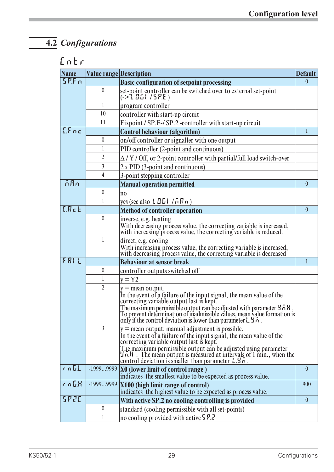# **4.2** *Configurations*

| Entr                  |                                |                                                                                                                                                                                                                                                                                                                                                                                              |                  |
|-----------------------|--------------------------------|----------------------------------------------------------------------------------------------------------------------------------------------------------------------------------------------------------------------------------------------------------------------------------------------------------------------------------------------------------------------------------------------|------------------|
| <b>Name</b>           | <b>Value range Description</b> |                                                                                                                                                                                                                                                                                                                                                                                              | <b>Default</b>   |
| 5P.5n                 |                                | <b>Basic configuration of setpoint processing</b>                                                                                                                                                                                                                                                                                                                                            | $\theta$         |
|                       | $\mathbf{0}$                   | set-point controller can be switched over to external set-point<br>(-> L II L   / S P.E )                                                                                                                                                                                                                                                                                                    |                  |
|                       | 1                              | program controller                                                                                                                                                                                                                                                                                                                                                                           |                  |
|                       | 10                             | controller with start-up circuit                                                                                                                                                                                                                                                                                                                                                             |                  |
|                       | 11                             | Fixpoint / SP.E-/ SP.2 -controller with start-up circuit                                                                                                                                                                                                                                                                                                                                     |                  |
| EFac                  |                                | Control behaviour (algorithm)                                                                                                                                                                                                                                                                                                                                                                | $\mathbf{1}$     |
|                       | $\boldsymbol{0}$               | on/off controller or signaller with one output                                                                                                                                                                                                                                                                                                                                               |                  |
|                       | 1                              | PID controller (2-point and continuous)                                                                                                                                                                                                                                                                                                                                                      |                  |
|                       | $\overline{2}$                 | $\Delta$ / Y / Off, or 2-point controller with partial/full load switch-over                                                                                                                                                                                                                                                                                                                 |                  |
|                       | $\overline{3}$                 | 2 x PID (3-point and continuous)                                                                                                                                                                                                                                                                                                                                                             |                  |
|                       | 4                              | 3-point stepping controller                                                                                                                                                                                                                                                                                                                                                                  |                  |
| $\overline{AB}n$      |                                | <b>Manual operation permitted</b>                                                                                                                                                                                                                                                                                                                                                            | $\overline{0}$   |
|                       | $\mathbf{0}$                   | n <sub>0</sub>                                                                                                                                                                                                                                                                                                                                                                               |                  |
|                       | 1                              | yes (see also $L \times L$ ) / $\overline{A} \times \overline{B}$ /n)                                                                                                                                                                                                                                                                                                                        |                  |
| <b>ERck</b>           |                                | <b>Method of controller operation</b>                                                                                                                                                                                                                                                                                                                                                        | $\overline{0}$   |
|                       | $\mathbf{0}$                   | inverse, e.g. heating                                                                                                                                                                                                                                                                                                                                                                        |                  |
|                       |                                | With decreasing process value, the correcting variable is increased,<br>with increasing process value, the correcting variable is reduced.                                                                                                                                                                                                                                                   |                  |
|                       | 1                              | direct, e.g. cooling<br>With increasing process value, the correcting variable is increased,<br>with decreasing process value, the correcting variable is decreased                                                                                                                                                                                                                          |                  |
| FRIL                  |                                | <b>Behaviour at sensor break</b>                                                                                                                                                                                                                                                                                                                                                             | 1                |
|                       | $\boldsymbol{0}$               | controller outputs switched off                                                                                                                                                                                                                                                                                                                                                              |                  |
|                       | 1                              | $y = Y2$                                                                                                                                                                                                                                                                                                                                                                                     |                  |
|                       | $\overline{2}$                 | $y =$ mean output.<br>In the event of a failure of the input signal, the mean value of the correcting variable output last is kept.<br>The maximum permissible output can be adjusted with parameter $\sharp \Lambda H$ .<br>To prevent determination of inadmissible values, mean value formation is<br>lonly if the control deviation is lower than parameter $L \cdot 3 \cdot n$ .        |                  |
|                       | $\overline{3}$                 | $ y $ = mean output; manual adjustment is possible.<br>In the event of a failure of the input signal, the mean value of the<br>correcting variable output last is kept.<br>The maximum permissible output can be adjusted using parameter<br>$\left \frac{1}{2}n\right $ . The mean output is measured at intervals of 1 min., when the control deviation is smaller than parameter $1.3n$ . |                  |
| $r$ n $LL$            | $-19999999$                    | $ X0 $ (lower limit of control range)<br>indicates the smallest value to be expected as process value.                                                                                                                                                                                                                                                                                       | $\mathbf{0}$     |
| $r$ n $\mathbf{L}$ .K | -19999999                      | <b>X100 (high limit range of control)</b><br>indicates the highest value to be expected as process value.                                                                                                                                                                                                                                                                                    | 900              |
| <b>SP20</b>           |                                | With active SP.2 no cooling controlling is provided                                                                                                                                                                                                                                                                                                                                          | $\boldsymbol{0}$ |
|                       | $\boldsymbol{0}$               | standard (cooling permissible with all set-points)                                                                                                                                                                                                                                                                                                                                           |                  |
|                       | 1                              | no cooling provided with active 5 P.2                                                                                                                                                                                                                                                                                                                                                        |                  |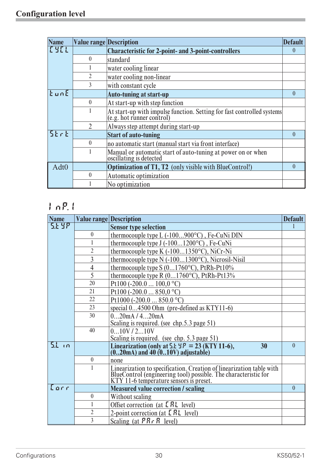| <b>Name</b>      | <b>Value range Description</b> |                                                                                                  | <b>Default</b> |
|------------------|--------------------------------|--------------------------------------------------------------------------------------------------|----------------|
| <b>TYFL</b>      |                                | <b>Characteristic for 2-point- and 3-point-controllers</b>                                       | $\mathbf{0}$   |
|                  | $\theta$                       | standard                                                                                         |                |
|                  |                                | water cooling linear                                                                             |                |
|                  | $\mathfrak{D}$                 | water cooling non-linear                                                                         |                |
|                  | 3                              | with constant cycle                                                                              |                |
| $k$ un $E$       |                                | <b>Auto-tuning at start-up</b>                                                                   | $\theta$       |
|                  | $\mathbf{0}$                   | At start-up with step function                                                                   |                |
|                  |                                | At start-up with impulse function. Setting for fast controlled systems (e.g. hot runner control) |                |
|                  | $\overline{2}$                 | Always step attempt during start-up                                                              |                |
| 5krk             |                                | <b>Start of auto-tuning</b>                                                                      | $\theta$       |
|                  | $\mathbf{0}$                   | no automatic start (manual start via front interface)                                            |                |
|                  |                                | Manual or automatic start of auto-tuning at power on or when<br>oscillating is detected          |                |
| Adt <sub>0</sub> |                                | Optimization of T1, T2 (only visible with BlueControl!)                                          | $\theta$       |
|                  | $\theta$                       | Automatic optimization                                                                           |                |
|                  |                                | No optimization                                                                                  |                |

# **InP.1**

| <b>Name</b> |                  | <b>Value range Description</b>                                                                                                                                                     | <b>Default</b> |
|-------------|------------------|------------------------------------------------------------------------------------------------------------------------------------------------------------------------------------|----------------|
| 5648        |                  | <b>Sensor type selection</b>                                                                                                                                                       | 1              |
|             | $\boldsymbol{0}$ | thermocouple type L $(-100900^{\circ}C)$ , Fe-CuNi DIN                                                                                                                             |                |
|             |                  | thermocouple type $J(-1001200^{\circ}C)$ , Fe-CuNi                                                                                                                                 |                |
|             | $\overline{2}$   | thermocouple type K $(-1001350^{\circ}C)$ , NiCr-Ni                                                                                                                                |                |
|             | 3                | thermocouple type N (-1001300°C), Nicrosil-Nisil                                                                                                                                   |                |
|             | 4                | thermocouple type $S(01760^{\circ}C)$ , PtRh-Pt10%                                                                                                                                 |                |
|             | 5                | thermocouple type R (01760°C), PtRh-Pt13%                                                                                                                                          |                |
|             | 20               | Pt100 (-200.0 $100,0 °C$ )                                                                                                                                                         |                |
|             | 21               | Pt100 (-200.0  850,0 °C)                                                                                                                                                           |                |
|             | 22               | Pt1000 (-200.0  850.0 °C)                                                                                                                                                          |                |
|             | 23               | special 04500 Ohm (pre-defined as KTY11-6)                                                                                                                                         |                |
|             | 30               | 020mA/420mA                                                                                                                                                                        |                |
|             |                  | Scaling is required. (see chp.5.3 page 51)                                                                                                                                         |                |
|             | 40               | 010V/210V                                                                                                                                                                          |                |
| 51.10       |                  | Scaling is required. (see chp. 5.3 page 51)                                                                                                                                        |                |
|             |                  | Linearization (only at $5.5 \text{ }\frac{1}{2} = 23 \text{ (KTY 11-6)}$ , (020mA) and 40 (010V) adjustable)<br>30                                                                 | $\theta$       |
|             | $\mathbf{0}$     | none                                                                                                                                                                               |                |
|             | 1                | Linearization to specification. Creation of linearization table with<br>BlueControl (engineering tool) possible. The characteristic for<br>KTY 11-6 temperature sensors is preset. |                |
| Corr        |                  | <b>Measured value correction / scaling</b>                                                                                                                                         | $\theta$       |
|             | $\mathbf{0}$     | Without scaling                                                                                                                                                                    |                |
|             |                  | Offset correction (at $E R L$ level)                                                                                                                                               |                |
|             | $\overline{2}$   | 2-point correction (at $E R L$ level)                                                                                                                                              |                |
|             | 3                | Scaling (at $\overline{PR} \cdot \overline{R}$ level)                                                                                                                              |                |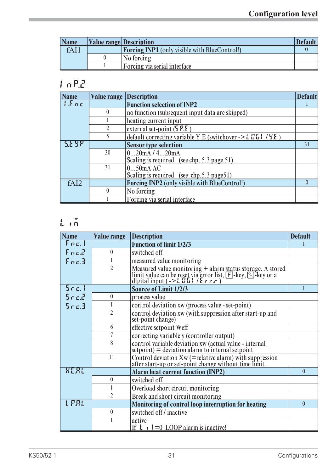| <b>Name</b> | <b>Value range Description</b>                       | <b>Default</b> |
|-------------|------------------------------------------------------|----------------|
| fAI1        | <b>Forcing INP1</b> (only visible with BlueControl!) |                |
|             | No forcing                                           |                |
|             | Forcing via serial interface                         |                |

# **InP.2**

| <b>Name</b> | <b>Value range Description</b> |                                                                    | <b>Default</b> |
|-------------|--------------------------------|--------------------------------------------------------------------|----------------|
| 1.5nc       |                                | <b>Function selection of INP2</b>                                  |                |
|             | $\Omega$                       | no function (subsequent input data are skipped)                    |                |
|             |                                | heating current input                                              |                |
|             |                                | external set-point $(5P.E)$                                        |                |
|             | 5                              | default correcting variable Y.E (switchover -> $\angle$ 0.1 / 4.5) |                |
| 5146        |                                | <b>Sensor type selection</b>                                       | 31             |
|             | 30                             | 020mA/420mA                                                        |                |
|             |                                | Scaling is required. (see chp. 5.3 page 51)                        |                |
|             | 31                             | 050mA AC                                                           |                |
|             |                                | Scaling is required. (see chp.5.3 page51)                          |                |
| fAI2        |                                | <b>Forcing INP2</b> (only visible with BlueControl!)               | $\Omega$       |
|             | $\mathbf{0}$                   | No forcing                                                         |                |
|             |                                | Forcing via serial interface                                       |                |

# **Lim**

| <b>Name</b>  | Value range    | <b>Description</b>                                                                                                                                                                                                        | <b>Default</b> |
|--------------|----------------|---------------------------------------------------------------------------------------------------------------------------------------------------------------------------------------------------------------------------|----------------|
| Fnc.1        |                | <b>Function of limit 1/2/3</b>                                                                                                                                                                                            |                |
| Enc2         | $\theta$       | switched off                                                                                                                                                                                                              |                |
| Fnc.3        |                | measured value monitoring                                                                                                                                                                                                 |                |
|              | $\overline{2}$ | Measured value monitoring + alarm status storage. A stored<br>limit value can be reset via error list, $[F]$ -key, $\circled{=}$ -key or a<br>digital input (-> $\mathsf{L}\mathbf{B}\mathbf{L}$ ) / $\mathsf{E}$ r r r r |                |
| $5$ r c. l   |                | <b>Source of Limit 1/2/3</b>                                                                                                                                                                                              |                |
| $5$ r c. $2$ | $\theta$       | process value                                                                                                                                                                                                             |                |
| $5 - c$ .    |                | control deviation xw (process value - set-point)                                                                                                                                                                          |                |
|              | $\overline{2}$ | control deviation xw (with suppression after start-up and<br>set-point change)                                                                                                                                            |                |
|              | 6              | effective setpoint Weff                                                                                                                                                                                                   |                |
|              | 7              | correcting variable y (controller output)                                                                                                                                                                                 |                |
|              | 8              | control variable deviation $xw$ (actual value - internal<br>setpoint) = deviation alarm to internal setpoint                                                                                                              |                |
|              | 11             | Control deviation Xw (= relative alarm) with suppression<br>after start-up or set-point change without time limit.                                                                                                        |                |
| <b>HERL</b>  |                | <b>Alarm heat current function (INP2)</b>                                                                                                                                                                                 | $\theta$       |
|              | $\theta$       | switched off                                                                                                                                                                                                              |                |
|              |                | Overload short circuit monitoring                                                                                                                                                                                         |                |
|              | $\overline{2}$ | Break and short circuit monitoring                                                                                                                                                                                        |                |
| LPRL         |                | Monitoring of control loop interruption for heating                                                                                                                                                                       | $\theta$       |
|              | $\theta$       | switched off/inactive                                                                                                                                                                                                     |                |
|              |                | active<br>If $\mathbf{t} \cdot \mathbf{l} = 0$ LOOP alarm is inactive!                                                                                                                                                    |                |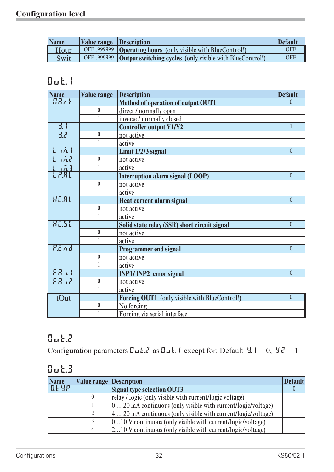| <b>Name</b> | <b>Value range Description</b> |                                                                        | <b>Default</b> |
|-------------|--------------------------------|------------------------------------------------------------------------|----------------|
| Hour        |                                | OFF999999 <b>Operating hours</b> (only visible with BlueControl!)      | <b>OFF</b>     |
| Swit        |                                | OFF. 999999   Output switching cycles (only visible with BlueControl!) | <b>OFF</b>     |

# **Out.1**

| <b>Name</b>          | <b>Value range</b> | <b>Description</b>                            | <b>Default</b> |
|----------------------|--------------------|-----------------------------------------------|----------------|
| <b>ARct</b>          |                    | Method of operation of output OUT1            | $\Omega$       |
|                      | $\mathbf{0}$       | direct / normally open                        |                |
|                      | 1                  | inverse / normally closed                     |                |
| <u>प्र ।</u>         |                    | <b>Controller output Y1/Y2</b>                | $\mathbf{1}$   |
| 32                   | $\boldsymbol{0}$   | not active                                    |                |
|                      | 1                  | active                                        |                |
| $L$ in $l$           |                    | Limit 1/2/3 signal                            | $\theta$       |
| 1.02                 | $\boldsymbol{0}$   | not active                                    |                |
|                      | 1                  | active                                        |                |
| Lj <u>oj</u><br>Lpri |                    | Interruption alarm signal (LOOP)              | $\overline{0}$ |
|                      | $\boldsymbol{0}$   | not active                                    |                |
|                      |                    | active                                        |                |
| HERL                 |                    | Heat current alarm signal                     | $\mathbf{0}$   |
|                      | $\boldsymbol{0}$   | not active                                    |                |
|                      |                    | active                                        |                |
| <b>HESE</b>          |                    | Solid state relay (SSR) short circuit signal  | $\mathbf{0}$   |
|                      | $\mathbf{0}$       | not active                                    |                |
|                      |                    | active                                        |                |
| P.End                |                    | <b>Programmer end signal</b>                  | $\theta$       |
|                      | $\boldsymbol{0}$   | not active                                    |                |
|                      |                    | active                                        |                |
| FR <sub>h</sub>      |                    | <b>INP1/INP2</b> error signal                 | $\overline{0}$ |
| FR JZ                | $\boldsymbol{0}$   | not active                                    |                |
|                      | 1                  | active                                        |                |
| fOut                 |                    | Forcing OUT1 (only visible with BlueControl!) | $\overline{0}$ |
|                      | $\mathbf{0}$       | No forcing                                    |                |
|                      |                    | Forcing via serial interface                  |                |

# **Out.2**

Configuration parameters  $\mathbf{G} \cup \mathbf{L} \cdot \mathbf{Z}$  as  $\mathbf{G} \cup \mathbf{L} \cdot \mathbf{I}$  except for: Default  $\mathbf{Y} \cdot \mathbf{I} = 0$ ,  $\mathbf{Y} \cdot \mathbf{Z} = 1$ 

# **Out.3**

| <b>Name</b> | <b>Value range Description</b> |                                                                                    | <b>Default</b> |
|-------------|--------------------------------|------------------------------------------------------------------------------------|----------------|
| E E 3P      |                                | <b>Signal type selection OUT3</b>                                                  |                |
|             |                                | relay / logic (only visible with current/logic voltage)                            |                |
|             |                                | $\left(0 \dots 20 \text{ mA}$ continuous (only visible with current/logic/voltage) |                |
|             |                                | $4$ 20 mA continuous (only visible with current/logic/voltage)                     |                |
|             |                                | 010 V continuous (only visible with current/logic/voltage)                         |                |
|             |                                | $ 210$ V continuous (only visible with current/logic/voltage)                      |                |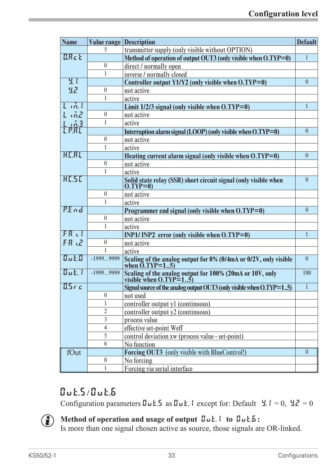| <b>Name</b>            | <b>Value range Description</b> |                                                                                               | <b>Default</b> |
|------------------------|--------------------------------|-----------------------------------------------------------------------------------------------|----------------|
|                        | 5                              | transmitter supply (only visible without OPTION)                                              |                |
| <b>ARct</b>            |                                | Method of operation of output OUT3 (only visible when O.TYP=0)                                | 1              |
|                        | $\boldsymbol{0}$               | direct / normally open                                                                        |                |
|                        | 1                              | inverse / normally closed                                                                     |                |
| $\mathbf{H}$           |                                | Controller output $Y1/Y2$ (only visible when $O(TYP=0)$ )                                     | $\theta$       |
| 32                     | $\boldsymbol{0}$               | not active                                                                                    |                |
|                        | 1                              | active                                                                                        |                |
| $l_1$ in $l_2$         |                                | Limit $1/2/3$ signal (only visible when $0. TYP=0$ )                                          | 1              |
| $L$ and                | $\mathbf{0}$                   | not active                                                                                    |                |
|                        | 1                              | active                                                                                        |                |
| <u>L 103</u><br>L P.RL |                                | Interruption alarm signal (LOOP) (only visible when O.TYP=0)                                  | $\theta$       |
|                        | $\boldsymbol{0}$               | not active                                                                                    |                |
|                        | 1                              | active                                                                                        |                |
| <b>HERL</b>            |                                | Heating current alarm signal (only visible when $O(TYP=0)$ )                                  | $\theta$       |
|                        | $\boldsymbol{0}$               | not active                                                                                    |                |
|                        | 1                              | active                                                                                        |                |
| <b>HESE</b>            |                                | Solid state relay (SSR) short circuit signal (only visible when<br>O.TYP=0)                   | $\mathbf{0}$   |
|                        |                                |                                                                                               |                |
|                        | $\boldsymbol{0}$               | not active                                                                                    |                |
|                        | 1                              | active                                                                                        |                |
| P.End                  |                                | Programmer end signal (only visible when O.TYP=0)                                             | $\mathbf{0}$   |
|                        | $\boldsymbol{0}$               | not active                                                                                    |                |
|                        | 1                              | active                                                                                        |                |
| FR <sub>h</sub>        |                                | INP1/INP2 error (only visible when $O.TYP=0$ )                                                | 1              |
| FR 12                  | $\theta$                       | not active                                                                                    |                |
|                        | 1                              | active                                                                                        |                |
| $0$ ut. $0$            | -19999999                      | Scaling of the analog output for $\overline{0\%}$ (0/4mA or 0/2V, only visible when O.TYP=15) | $\theta$       |
| $B$ ut. (              | -19999999                      | Scaling of the analog output for 100% (20mA or 10V, only visible when O.TYP=15)               | 100            |
| -85 c c                |                                | Signal source of the analog output OUT3 (only visible when O.TYP=15)                          |                |
|                        | $\boldsymbol{0}$               | not used                                                                                      |                |
|                        | 1                              | controller output y1 (continuous)                                                             |                |
|                        | $\overline{2}$                 | controller output y2 (continuous)                                                             |                |
|                        | 3                              | process value                                                                                 |                |
|                        | 4                              | effective set-point Weff                                                                      |                |
|                        | 5                              | control deviation xw (process value - set-point)                                              |                |
|                        | 6                              | No function                                                                                   |                |
| fOut                   |                                | Forcing OUT3 (only visible with BlueControl!)                                                 | $\theta$       |
|                        | $\boldsymbol{0}$               | No forcing                                                                                    |                |
|                        | 1                              | Forcing via serial interface                                                                  |                |

# **Out.5/ Out.6**

Configuration parameters  $\mathbf{u} \cdot \mathbf{5}$  as  $\mathbf{u} \cdot \mathbf{6}$ . 1 except for: Default  $\mathbf{4} \cdot \mathbf{1} = 0$ ,  $\mathbf{4} \cdot \mathbf{2} = 0$ 



# **i Method of operation and usage of output**  $\mathbf{D} \mathbf{u} \mathbf{t}$ **. 1 <b>to**  $\mathbf{D} \mathbf{u} \mathbf{t}$ . **i** Is more than one signal chosen active as source, those signals as

Is more than one signal chosen active as source, those signals are OR-linked.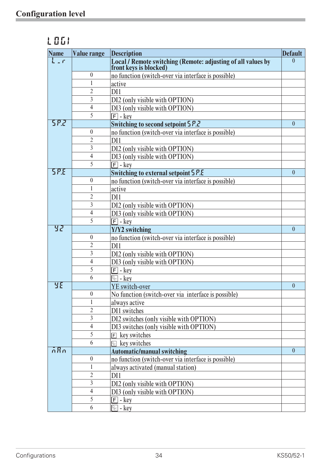| Name             | <b>Value range</b> | <b>Description</b>                                                                  | <b>Default</b> |
|------------------|--------------------|-------------------------------------------------------------------------------------|----------------|
| $L_{\alpha}$ r   |                    | Local / Remote switching (Remote: adjusting of all values by front keys is blocked) | $\Omega$       |
|                  | $\boldsymbol{0}$   | no function (switch-over via interface is possible)                                 |                |
|                  | $\mathbf{1}$       | active                                                                              |                |
|                  | $\overline{2}$     | DI1                                                                                 |                |
|                  | 3                  | DI2 (only visible with OPTION)                                                      |                |
|                  | $\overline{4}$     | DI3 (only visible with OPTION)                                                      |                |
|                  | 5                  | $\boxed{F}$ - key                                                                   |                |
| 582              |                    | Switching to second setpoint 5 P.2                                                  | $\theta$       |
|                  | $\boldsymbol{0}$   | no function (switch-over via interface is possible)                                 |                |
|                  | $\overline{2}$     | DI1                                                                                 |                |
|                  | $\mathfrak{Z}$     | DI2 (only visible with OPTION)                                                      |                |
|                  | $\overline{4}$     | DI3 (only visible with OPTION)                                                      |                |
|                  | 5                  | $\boxed{F}$ - key                                                                   |                |
| 58.8             |                    | <b>Switching to external setpoint 5 P.E</b>                                         | $\theta$       |
|                  | $\boldsymbol{0}$   | no function (switch-over via interface is possible)                                 |                |
|                  | 1                  | active                                                                              |                |
|                  | $\overline{2}$     | DI1                                                                                 |                |
|                  | $\overline{3}$     | DI2 (only visible with OPTION)                                                      |                |
|                  | 4                  | DI3 (only visible with OPTION)                                                      |                |
|                  | 5                  | $\boxed{F}$ - key                                                                   |                |
| 32               |                    | Y/Y2 switching                                                                      | $\mathbf{0}$   |
|                  | $\boldsymbol{0}$   | no function (switch-over via interface is possible)                                 |                |
|                  | $\overline{2}$     | DI1                                                                                 |                |
|                  | $\overline{3}$     | DI2 (only visible with OPTION)                                                      |                |
|                  | 4                  | DI3 (only visible with OPTION)                                                      |                |
|                  | 5                  | $\boxed{\mathsf{F}}$ - key                                                          |                |
|                  | 6                  | $\boxed{\circledcirc}$ - key                                                        |                |
| <b>YE</b>        |                    | YE switch-over                                                                      | $\theta$       |
|                  | $\boldsymbol{0}$   | No function (switch-over via interface is possible)                                 |                |
|                  | 1                  | always active                                                                       |                |
|                  | $\overline{2}$     | DI1 switches                                                                        |                |
|                  | 3                  | DI2 switches (only visible with OPTION)                                             |                |
|                  | 4                  | DI3 switches (only visible with OPTION)                                             |                |
|                  | 5                  | $E$ key switches                                                                    |                |
|                  | 6                  | $\mathbb{R}$ key switches                                                           |                |
| $\overline{n}Rn$ |                    | <b>Automatic/manual switching</b>                                                   | $\theta$       |
|                  | $\boldsymbol{0}$   | no function (switch-over via interface is possible)                                 |                |
|                  | $\mathbf 1$        | always activated (manual station)                                                   |                |
|                  | $\overline{2}$     | DI1                                                                                 |                |
|                  | 3                  | DI2 (only visible with OPTION)                                                      |                |
|                  | 4                  | DI3 (only visible with OPTION)                                                      |                |
|                  | 5                  | $\boxed{F}$ - <u>key</u>                                                            |                |
|                  | 6                  | $\boxed{\circledcirc}$ - key                                                        |                |
|                  |                    |                                                                                     |                |

# **LOGI**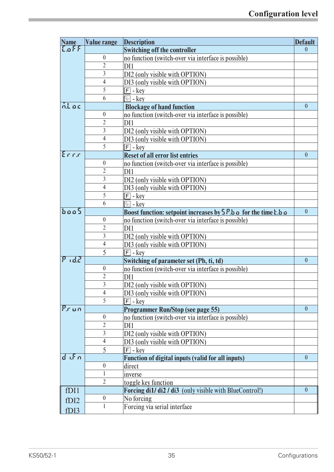| <b>Name</b>       | <b>Value range</b>  | <b>Description</b>                                                  | <b>Default</b>   |
|-------------------|---------------------|---------------------------------------------------------------------|------------------|
| $L$ off           |                     | <b>Switching off the controller</b>                                 | $\theta$         |
|                   | $\boldsymbol{0}$    | no function (switch-over via interface is possible)                 |                  |
|                   | $\overline{2}$      | DI1                                                                 |                  |
|                   | $\overline{3}$      | DI2 (only visible with OPTION)                                      |                  |
|                   | $\overline{4}$      | DI3 (only visible with OPTION)                                      |                  |
|                   | 5                   | $\boxed{F}$ - key                                                   |                  |
|                   | 6                   | $\mathbb{R}$ - kev                                                  |                  |
| ntoc              |                     | <b>Blockage of hand function</b>                                    | $\mathbf{0}$     |
|                   | $\boldsymbol{0}$    | no function (switch-over via interface is possible)                 |                  |
|                   | 2                   | DI1                                                                 |                  |
|                   | $\overline{3}$      | DI2 (only visible with OPTION)                                      |                  |
|                   | $\overline{4}$      | DI3 (only visible with OPTION)                                      |                  |
|                   | 5                   | $\boxed{F}$ - key                                                   |                  |
| Errir             |                     | <b>Reset of all error list entries</b>                              | $\overline{0}$   |
|                   | $\boldsymbol{0}$    | no function (switch-over via interface is possible)                 |                  |
|                   | $\overline{2}$      | DI1                                                                 |                  |
|                   | $\overline{3}$      | DI2 (only visible with OPTION)                                      |                  |
|                   | $\overline{4}$      | DI3 (only visible with OPTION)                                      |                  |
|                   | 5                   | $\boxed{\mathsf{F}}$ - key                                          |                  |
|                   | 6                   | $\boxed{\circledcirc}$ - key                                        |                  |
| base5             |                     | Boost function: setpoint increases by $5P.b$ a for the time $b.b$ a | $\mathbf{0}$     |
|                   | $\boldsymbol{0}$    | no function (switch-over via interface is possible)                 |                  |
|                   | $\overline{2}$      | DI1                                                                 |                  |
|                   | 3                   | DI2 (only visible with OPTION)                                      |                  |
|                   | $\overline{4}$      | DI3 (only visible with OPTION)                                      |                  |
|                   | 5                   | $\boxed{F}$ - key                                                   |                  |
| $P_1$ d $P_2$     |                     | Switching of parameter set (Pb, ti, td)                             | $\boldsymbol{0}$ |
|                   | $\boldsymbol{0}$    | no function (switch-over via interface is possible)                 |                  |
|                   | $\overline{2}$      | DI1                                                                 |                  |
|                   | $\overline{3}$      | DI2 (only visible with OPTION)                                      |                  |
|                   | $\overline{4}$      | DI3 (only visible with OPTION)                                      |                  |
|                   | 5                   | $\boxed{\mathsf{F}}$ - key                                          |                  |
| Prun              |                     | <b>Programmer Run/Stop (see page 55)</b>                            | $\overline{0}$   |
|                   | $\boldsymbol{0}$    | no function (switch-over via interface is possible)                 |                  |
|                   | $\overline{2}$      | DI1                                                                 |                  |
|                   | $\mathfrak{Z}$      | DI2 (only visible with OPTION)                                      |                  |
|                   | $\overline{4}$      | DI3 (only visible with OPTION)                                      |                  |
| $d$ if $n$        | 5                   | $\boxed{F}$ - key                                                   |                  |
|                   | $\boldsymbol{0}$    | <b>Function of digital inputs (valid for all inputs)</b>            | $\mathbf{0}$     |
|                   |                     | direct                                                              |                  |
|                   | 1<br>$\overline{2}$ | inverse                                                             |                  |
| fDI1              |                     | toggle key function                                                 | $\overline{0}$   |
|                   | $\boldsymbol{0}$    | Forcing di1/ di2 / di3 (only visible with BlueControl!)             |                  |
| f <sub>D</sub> 12 | $\mathbf{1}$        | No forcing<br>Forcing via serial interface                          |                  |
| fDI3              |                     |                                                                     |                  |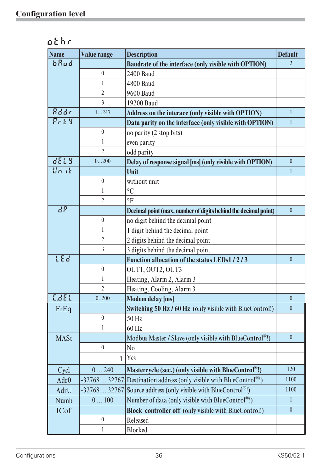| <b>Name</b>      | <b>Value range</b> | <b>Description</b>                                                   | <b>Default</b>   |
|------------------|--------------------|----------------------------------------------------------------------|------------------|
| bRud             |                    | Baudrate of the interface (only visible with OPTION)                 | $\overline{2}$   |
|                  | $\boldsymbol{0}$   | <b>2400 Baud</b>                                                     |                  |
|                  | 1                  | <b>4800 Baud</b>                                                     |                  |
|                  | $\overline{2}$     | <b>9600 Baud</b>                                                     |                  |
|                  | $\overline{3}$     | 19200 Baud                                                           |                  |
| Rddr             | 1247               | Address on the interace (only visible with OPTION)                   | $\mathbf{1}$     |
| $P$ r $E$ $S$    |                    | Data parity on the interface (only visible with OPTION)              | 1                |
|                  | $\boldsymbol{0}$   | no parity (2 stop bits)                                              |                  |
|                  | $\mathbf{1}$       | even parity                                                          |                  |
|                  | $\overline{2}$     | odd parity                                                           |                  |
| dELY             | 0200               | Delay of response signal [ms] (only visible with OPTION)             | $\mathbf{0}$     |
| Unit             |                    | Unit                                                                 | $\mathbf{1}$     |
|                  | $\boldsymbol{0}$   | without unit                                                         |                  |
|                  | 1                  | $\rm ^{\circ}C$                                                      |                  |
|                  | $\overline{2}$     | $\circ$ F                                                            |                  |
| dP               |                    | Decimal point (max. number of digits behind the decimal point)       | $\mathbf{0}$     |
|                  | $\boldsymbol{0}$   | no digit behind the decimal point                                    |                  |
|                  | 1                  | 1 digit behind the decimal point                                     |                  |
|                  | $\overline{2}$     | 2 digits behind the decimal point                                    |                  |
|                  | $\overline{3}$     | 3 digits behind the decimal point                                    |                  |
| LEd              |                    | Function allocation of the status LEDs1/2/3                          | $\boldsymbol{0}$ |
|                  | $\boldsymbol{0}$   | OUT1, OUT2, OUT3                                                     |                  |
|                  | $\mathbf{1}$       | Heating, Alarm 2, Alarm 3                                            |                  |
|                  | $\overline{2}$     | Heating, Cooling, Alarm 3                                            |                  |
| LdEL             | 0.200              | <b>Modem delay [ms]</b>                                              | $\theta$         |
| FrEq             |                    | Switching 50 Hz / 60 Hz (only visible with BlueControl!)             | $\mathbf{0}$     |
|                  | $\boldsymbol{0}$   | 50 Hz                                                                |                  |
|                  | 1                  | 60 Hz                                                                |                  |
| <b>MASt</b>      |                    | Modbus Master / Slave (only visible with BlueControl <sup>®</sup> !) | $\boldsymbol{0}$ |
|                  | $\overline{0}$     | N <sub>0</sub>                                                       |                  |
|                  | 1                  | Yes                                                                  |                  |
| Cycl             | 0240               | Mastercycle (sec.) (only visible with BlueControl <sup>®</sup> !)    | 120              |
| Adr <sub>0</sub> | $-3276832767$      | Destination address (only visible with BlueControl <sup>®</sup> !)   | 1100             |
| AdrU             | $-3276832767$      | Source address (only visible with BlueControl <sup>®</sup> !)        | 1100             |
| Numb             | 0100               | Number of data (only visible with BlueControl <sup>®</sup> !)        | $\mathbf{1}$     |
| <b>ICof</b>      |                    | <b>Block controller off</b> (only visible with BlueControl!)         | $\boldsymbol{0}$ |
|                  | $\boldsymbol{0}$   | Released                                                             |                  |
|                  | $\mathbf{1}$       | <b>Blocked</b>                                                       |                  |

| othr |  |
|------|--|
|------|--|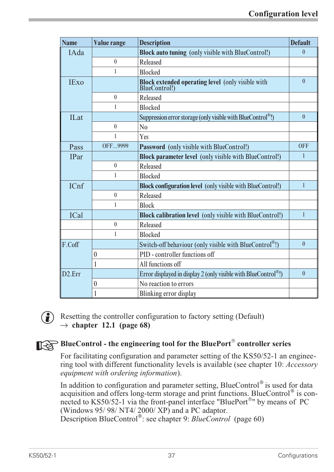| <b>Name</b>         | <b>Value range</b> | <b>Description</b>                                                       | <b>Default</b> |
|---------------------|--------------------|--------------------------------------------------------------------------|----------------|
| IAda                |                    | <b>Block auto tuning</b> (only visible with BlueControl!)                | $\mathbf{0}$   |
|                     | $\mathbf{0}$       | Released                                                                 |                |
|                     | $\mathbf{1}$       | <b>Blocked</b>                                                           |                |
| <b>IExo</b>         |                    | <b>Block extended operating level</b> (only visible with BlueControl!)   | $\theta$       |
|                     | $\mathbf{0}$       | Released                                                                 |                |
|                     | 1                  | <b>Blocked</b>                                                           |                |
| <b>ILat</b>         |                    | Suppression error storage (only visible with BlueControl <sup>®</sup> !) | $\mathbf{0}$   |
|                     | $\mathbf{0}$       | N <sub>0</sub>                                                           |                |
|                     | 1                  | Yes                                                                      |                |
| Pass                | OFF9999            | Password (only visible with BlueControl!)                                | <b>OFF</b>     |
| <b>IPar</b>         |                    | <b>Block parameter level</b> (only visible with BlueControl!)            | $\mathbf{1}$   |
|                     | $\mathbf{0}$       | Released                                                                 |                |
|                     | 1                  | <b>Blocked</b>                                                           |                |
| ICnf                |                    | <b>Block configuration level</b> (only visible with BlueControl!)        | 1              |
|                     | $\mathbf{0}$       | Released                                                                 |                |
|                     | $\mathbf{1}$       | <b>Block</b>                                                             |                |
| <b>ICal</b>         |                    | Block calibration level (only visible with BlueControl!)                 | $\mathbf{1}$   |
|                     | $\mathbf{0}$       | Released                                                                 |                |
|                     | 1                  | <b>Blocked</b>                                                           |                |
| F.Coff              |                    | Switch-off behaviour (only visible with BlueControl <sup>®</sup> !)      | $\theta$       |
|                     | $\boldsymbol{0}$   | PID - controller functions off                                           |                |
|                     | 1                  | All functions off                                                        |                |
| D <sub>2</sub> .Err |                    | Error displayed in display 2 (only visible with BlueControl®!)           | $\mathbf{0}$   |
|                     | $\boldsymbol{0}$   | No reaction to errors                                                    |                |
|                     | 1                  | Blinking error display                                                   |                |



 $\binom{2}{k}$  Resetting the controller configuration to factory setting (Default)  $\rightarrow$  chapter 12.1 (page 68)

# **BlueControl - the engineering tool for the BluePort<sup>®</sup> controller series**<br>For facilitating configuration and parameter setting of the KS50/52-1 an  $\epsilon$

For facilitating configuration and parameter setting of the KS50/52-1 an engineering tool with different functionality levels is available (see chapter 10: *Accessory equipment with ordering information*).

In addition to configuration and parameter setting, BlueControl® is used for data acquisition and offers long-term storage and print functions. BlueControl® is connected to KS50/52-1 via the front-panel interface "BluePort®" by means of PC (Windows 95/ 98/ NT4/ 2000/ XP) and a PC adaptor. Description BlueControl<sup>®</sup>: see chapter 9: *BlueControl* (page 60)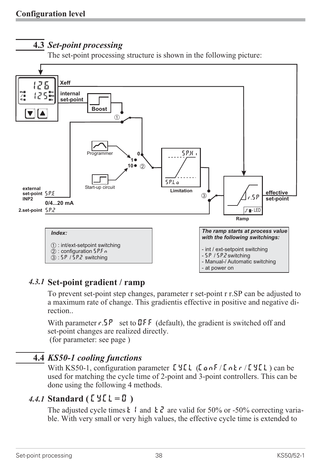## **4.3** *Set-point processing*

The set-point processing structure is shown in the following picture:



## *4.3.1* **Set-point gradient / ramp**

To prevent set-point step changes, parameter r set-point r r.SP can be adjusted to a maximum rate of change. This gradientis effective in positive and negative direction..

With parameter  $r.5P$  set to DFF (default), the gradient is switched off and set-point changes are realized directly. (for parameter: see page )

## **4.4** *KS50-1 cooling functions*

With KS50-1, configuration parameter  $LYLL$  (LonF/Lntr/ CYCL) can be used for matching the cycle time of 2-point and 3-point controllers. This can be done using the following 4 methods.

## *4.4.1* **Standard ( CyCl= 0 )**

The adjusted cycle times  $\frac{1}{2}$  and  $\frac{1}{2}$  are valid for 50% or -50% correcting variable. With very small or very high values, the effective cycle time is extended to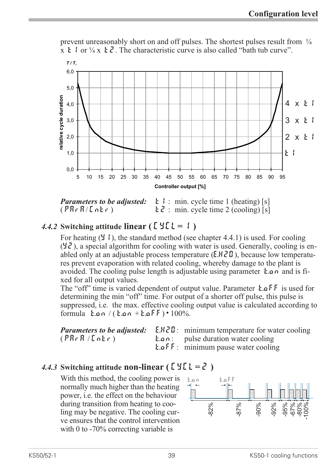

prevent unreasonably short on and off pulses. The shortest pulses result from  $\frac{1}{4}$  $x \nightharpoonup 1$  or  $\frac{1}{4}x \nightharpoonup 2$ . The characteristic curve is also called "bath tub curve".

*Parameters to be adjusted:*  $\mathbf{t}$  : min. cycle time 1 (heating) [s]  $(\overline{PRr}R/\overline{LRr})$  t  $\overline{c}$  : min. cycle time 2 (cooling) [s]

## *4.4.2* **Switching attitude linear (** $\begin{bmatrix} 1 & 2 & 1 \end{bmatrix}$ **)**

For heating  $(Y, \cdot)$ , the standard method (see chapter 4.4.1) is used. For cooling  $(\forall \vec{c})$ , a special algorithm for cooling with water is used. Generally, cooling is enabled only at an adjustable process temperature  $(E.HZI)$ , because low temperatures prevent evaporation with related cooling, whereby damage to the plant is avoided. The cooling pulse length is adjustable using parameter  $\mathbf{h} \cdot \mathbf{a}$  and is fixed for all output values.

The "off" time is varied dependent of output value. Parameter  $\mathbf{t} \cdot \mathbf{o} \mathbf{F} \cdot \mathbf{F}$  is used for determining the min "off" time. For output of a shorter off pulse, this pulse is suppressed, i.e. the max. effective cooling output value is calculated according to formula  $tan / (tan + k.oFF) \cdot 100\%$ .

|             | <b>Parameters to be adjusted:</b> E.H.Z.D: minimum temperature for water cooling |
|-------------|----------------------------------------------------------------------------------|
| (PRrR/LnEr) | <b>E.</b> $\alpha$ i pulse duration water cooling                                |
|             | <b>E.</b> $\alpha$ $\overline{F}$ : minimum pause water cooling                  |

## 4.4.3 Switching attitude **non-linear** ( $\mathbf{L}'\mathbf{H}'\mathbf{L} = \mathbf{Z}'$ )

With this method, the cooling power is normally much higher than the heating power, i.e. the effect on the behaviour during transition from heating to cooling may be negative. The cooling curve ensures that the control intervention with 0 to -70% correcting variable is during transition from heating to coo-<br>
ling may be negative. The cooling cur-<br>
ve ensures that the control intervention<br>
with 0 to -70% correcting variable is<br>
KS50/52-1<br>
39 KS50-1 cooling functions

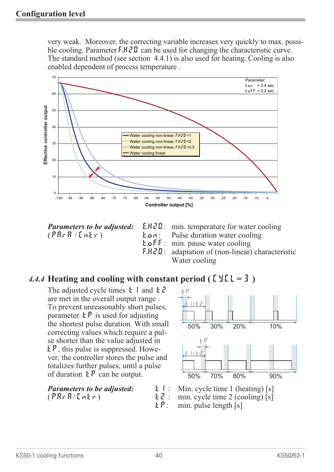very weak. Moreover, the correcting variable increases very quickly to max. possible cooling. Parameter F.H. Formula can be used for changing the characteristic curve. The standard method (see section 4.4.1) is also used for heating. Cooling is also enabled dependent of process temperature .



- *Parameters to be adjusted:* E.H2O: min. temperature for water cooling
- $(PR \rvert R / \ln \rvert r)$  t.on: Pulse duration water cooling
	- **t.off**: min. pause water cooling<br> $F.HZI$ : adaptation of (non-linear)

50%

tp

t1 t2 /

30%

20%

10%

90%

80%

70%

<u>t</u> 1/22

tp

50%

adaptation of  $(non-linear)$  characteristic Water cooling

## 4.4.4 **Heating and cooling with constant period (** $\mathbb{C} \mathcal{Y} \mathbb{C} \mathbb{L} = \mathcal{Y}$ **)**

The adjusted cycle times  $\boldsymbol{t}$  and  $\boldsymbol{t}$   $\boldsymbol{z}$ are met in the overall output range . To prevent unreasonably short pulses, parameter  $\mathbf{E} \mathbf{P}$  is used for adjusting the shortest pulse duration. With small correcting values which require a pulse shorter than the value adjusted in  $E_{\mathcal{P}}$ , this pulse is suppressed. However, the controller stores the pulse and totalizes further pulses, until a pulse of duration  $\mathbf{E} \mathbf{P}$  can be output.

| <b>Parameters to be adjusted:</b> | <b>L</b> $\mathbf{i}:$ Min. cycle time 1 (heating) [s]    |
|-----------------------------------|-----------------------------------------------------------|
| (PRrR/[n£r)                       | $\mathbf{L} \mathbf{Z}$ : min. cycle time 2 (cooling) [s] |
|                                   | $E P$ : min. pulse length [s]                             |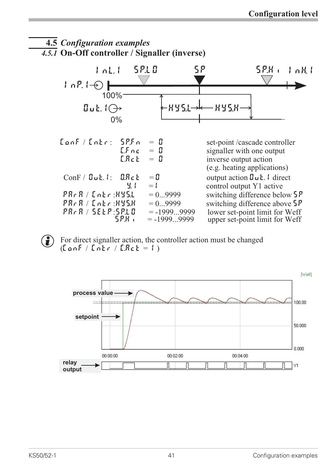



 $\left(\begin{array}{c} \bullet \\ \bullet \end{array}\right)$  For direct signaller action, the controller action must be changed  $(ConF / Intr / L. ReE = 1)$ 

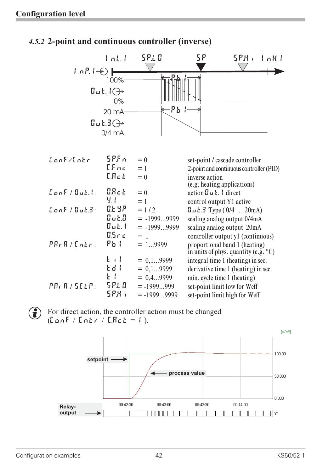## *4.5.2* **2-point and continuous controller (inverse)**



 $\left(\begin{array}{c} \bullet \end{array}\right)$  For direct action, the controller action must be changed  $(Font / Let / E.4c) = 1$ ).

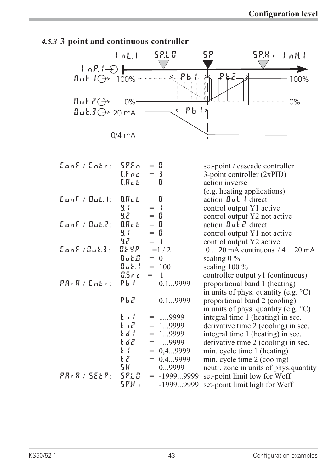

## *4.5.3* **3-point and continuous controller**

| ${{\sf CanF}}/{\sf Entr}: {{\sf SPF}}$ n                            | $E.$ $F \nc$<br>$E.R.c.$ $\vdash$                                  | $=$ H<br>$=$ 3<br>$=$ H                                                          | set-point / cascade controller<br>3-point controller (2xPID)<br>action inverse<br>(e.g. heating applications)                                                                                                      |
|---------------------------------------------------------------------|--------------------------------------------------------------------|----------------------------------------------------------------------------------|--------------------------------------------------------------------------------------------------------------------------------------------------------------------------------------------------------------------|
| $\tt$ onf / Out. $t:$ $\tt$ O.Ret                                   | <b>y.</b> (                                                        | $=$ H<br>$=$ $\left  \right $                                                    | $\alpha$ action $\mathbf{u}$ $\mathbf{u}$ $\mathbf{k}$ . I direct<br>control output Y1 active                                                                                                                      |
| $\tt {Cont}$ / $\tt {But}$ $\tt {C}$ :                              | 92<br>$B.R.c.$ $\varepsilon$<br>9.1<br>55.000                      | $=$ H<br>$=$ $\Box$<br>$=$ H<br>$=$ $\vert$                                      | control output Y2 not active<br>action $\mathbf{u} \mathbf{L}$ . $\mathbf{v}$ direct<br>control output Y1 not active                                                                                               |
| ${{\color{red}\mathsf{L}}}$ an ${{\color{blue}\mathsf{F}}}$ /dut.3: | <b>CLYP</b> $=1/2$<br>$\mathbf{Ju} \mathbf{L} \mathbf{J} = 0$      |                                                                                  | control output Y2 active<br>$0 20$ mA continuous. $/4 20$ mA<br>scaling $0\%$                                                                                                                                      |
| PRrR / [nkr:                                                        | 0.Sric<br>$Pb$ (                                                   | $\mathbf{Juk.}$ = 100<br>$=$ 1<br>$= 0, 19999$                                   | scaling $100\%$<br>controller output y1 (continuous)<br>proportional band 1 (heating)<br>in units of phys. quantity (e.g. $\mathrm{^{\circ}C}$ )                                                                   |
|                                                                     | <b>Pb2</b>                                                         | $= 0, 19999$                                                                     | proportional band 2 (cooling)<br>in units of phys. quantity (e.g. $\rm{^{\circ}C}$ )                                                                                                                               |
|                                                                     | 上工<br>$E \cdot E$<br>Ed I<br>t d2<br>$\mathbf{E}$<br>$E$ $\vec{c}$ | $= 19999$<br>$= 19999$<br>$= 19999$<br>$= 19999$<br>$= 0, 49999$<br>$= 0, 49999$ | integral time 1 (heating) in sec.<br>derivative time 2 (cooling) in sec.<br>integral time 1 (heating) in sec.<br>derivative time 2 (cooling) in sec.<br>min. cycle time 1 (heating)<br>min. cycle time 2 (cooling) |
| $PR - R / SEE P$ :                                                  | 5H 3<br>5210<br>5P.H .                                             | $= 09999$<br>$= -19999999$<br>$= -19999999$                                      | neutr. zone in units of phys.quantity<br>set-point limit low for Weff<br>set-point limit high for Weff                                                                                                             |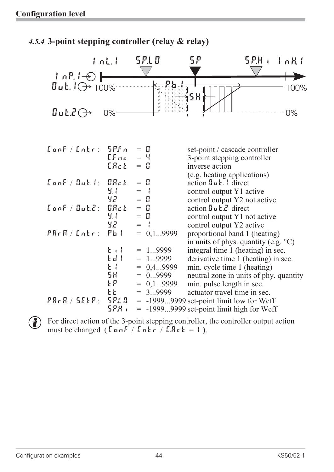## *4.5.4* **3-point stepping controller (relay & relay)**

|                                                                 | ind.                       | 5 P.L 0                                    | 5Ρ                                                                                                                                                           | 5.P.K<br>$1$ nH $1$                                                                            |
|-----------------------------------------------------------------|----------------------------|--------------------------------------------|--------------------------------------------------------------------------------------------------------------------------------------------------------------|------------------------------------------------------------------------------------------------|
| $  \cdot n$ $  \cdot \odot  $<br>$\mathbf{u}$ uk. $\Theta$ 100% |                            | $P_{\rm{b}}$ it is                         | ∌ุรื∦                                                                                                                                                        | 100%                                                                                           |
| $U$ u Ł. $\vec{c}$ $\leftrightarrow$                            | $0\%$                      |                                            |                                                                                                                                                              | $0\%$                                                                                          |
| ${{\sf CanF}} / {{\sf Entr}}$ : ${{\sf SPF}}$ n                 | LFnc<br>ERck               | $=$ H<br>$=$ 4<br>$=$ $\mathbb{I}$         | set-point / cascade controller<br>3-point stepping controller<br>inverse action                                                                              |                                                                                                |
| $\tt Conf / Guk.$ $t$ :                                         | <b>ORct</b><br>또 (<br>55   | $=$ H<br>$=$<br>$=$ $\mathbb{I}$           | (e.g. heating applications)<br>action $\mathbf{g}_{\mathbf{u}}$ $\mathbf{f}_{\mathbf{v}}$ direct<br>control output Y1 active<br>control output Y2 not active |                                                                                                |
| ${{\color{red}{\{a_n\}}}} / {{\color{red}{\{a_L\}}}}.$          | <b>ORct</b><br>노 (<br>52   | $=$ H<br>$=$ H<br>$=$                      | action $\mathbf{g}_{\mathbf{u}}$ <b>L</b> . $\mathbf{f}_{\mathbf{v}}$ direct<br>control output Y1 not active<br>control output Y2 active                     |                                                                                                |
| $PRrR / Lnkr$ :                                                 | $Pb$ (<br>$k + l$<br>Edd I | $= 0, 19999$<br>19999<br>$=$<br>$= 19999$  | proportional band 1 (heating)<br>integral time 1 (heating) in sec.                                                                                           | in units of phys. quantity (e.g. $\mathrm{^{\circ}C}$ )<br>derivative time 1 (heating) in sec. |
|                                                                 | $k +$<br>58<br>ኒዖ          | $= 0, 4,9999$<br>$= 09999$<br>$= 0, 19999$ | min. cycle time 1 (heating)<br>min. pulse length in sec.                                                                                                     | neutral zone in units of phy. quantity                                                         |
| $PR$ , R / SELP:                                                | 5 P.L 0<br>5P.H.           | $= 39999$                                  | actuator travel time in sec.<br>$= -19999999$ set-point limit low for Weff<br>$= -19999999$ set-point limit high for Weff                                    |                                                                                                |

For direct action of the 3-point stepping controller, the controller output action must be changed ( $\lceil \ln \frac{F}{\ln k} \rceil$ ,  $\lceil \ln \frac{F}{\ln k} \rceil$ ,  $\lceil \ln \frac{F}{\ln k} \rceil$ ,  $\lceil \ln \frac{F}{\ln k} \rceil$ ,  $\lceil \ln \frac{F}{\ln k} \rceil$ ,  $\lceil \ln \frac{F}{\ln k} \$ must be changed  $(\text{LonF}/\text{Lohr}/\text{LBr}t = 1)$ .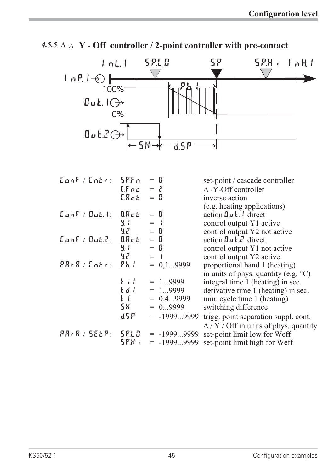

4.5.5  $\triangle$   $\mathbb{Z}$   $\mathbf{Y}$  - Off controller / 2-point controller with pre-contact

| Conf/Cntr: 5P.Fn                     |                   | $=$ H                | set-point / cascade controller                    |
|--------------------------------------|-------------------|----------------------|---------------------------------------------------|
|                                      | $LFnc = Z$        |                      | $\triangle$ -Y-Off controller                     |
|                                      | E.R.c. E          | $=$ $\mathbb{I}$     | inverse action                                    |
|                                      |                   |                      | (e.g. heating applications)                       |
| $\tt$ on $F /$ Out. $t:$ $\tt$ O.Ret |                   | $=$ H                | action $\mathbf{g}_{u}$ : $\mathbf{f}_{u}$ direct |
|                                      | Ч. I              | $=$ $\left  \right $ | control output Y1 active                          |
|                                      | 5.Z –             | $=$ H                | control output Y2 not active                      |
| $\tt {Cont} / \t{But}$ $\tt{2:}$     | $B.R.c.$ $\vdash$ | $=$ H                | action $\mathbf{g}_{\mathbf{u}}$ <b>L.</b> direct |
|                                      | Ч. I              | $=$ H                | control output Y1 not active                      |
|                                      | 55.2000           | $=$ $\left  \right $ | control output Y2 active                          |
| PRrR / [nkr:                         | $Pb$ (            | $= 0, 19999$         | proportional band 1 (heating)                     |
|                                      |                   |                      | in units of phys. quantity (e.g. $\textdegree$ C) |
|                                      | $k + l$           | $= 19999$            | integral time 1 (heating) in sec.                 |
|                                      | Edd I             | $= 19999$            | derivative time 1 (heating) in sec.               |
|                                      | $k +$             | $= 0, 49999$         | min. cycle time 1 (heating)                       |
|                                      | 58                | $= 09999$            | switching difference                              |
|                                      | ፈ5ዶ               | $= -19999999$        | trigg. point separation suppl. cont.              |
|                                      |                   |                      | $\Delta$ / Y / Off in units of phys. quantity     |
| PR, R / SELP:   SPLO                 |                   | $= -19999999$        | set-point limit low for Weff                      |
|                                      | 5.P.H (           | $=$ -19999999        | set-point limit high for Weff                     |
|                                      |                   |                      |                                                   |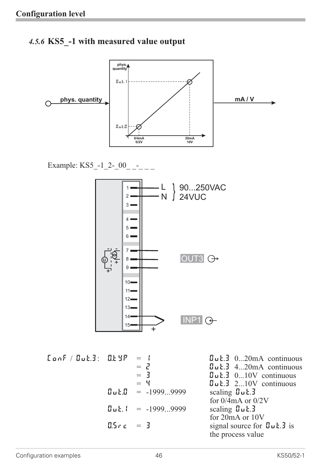## *4.5.6* **KS5\_-1 with measured value output**



Example:  $KSS_{-}$ -1\_2-\_00\_ \_-\_ \_



| ${{\sf CanF} / {\sf QuE}.3:}$ ${{\sf CLYP} = 1}$ |            |                                           | $\mathbf{u}$ <b>L.</b> $\mathbf{d}$ 020mA continuous |
|--------------------------------------------------|------------|-------------------------------------------|------------------------------------------------------|
|                                                  |            | $=$ $\mathbf{J}$                          | $\mathbf{u}$ <b>L.</b> 420mA continuous              |
|                                                  |            | $=$ 3                                     | $\mathbf{u}$ <b>L.</b> $\mathbf{v}$ 010V continuous  |
|                                                  |            | $=$ 4                                     | $\mathbf{Buk.3}$ 210V continuous                     |
|                                                  |            | $\mathbf{u} \cdot \mathbf{u} = -19999999$ | scaling $\mathbf{u}$ $\mathbf{L}$ .                  |
|                                                  |            |                                           | for $0/4$ mA or $0/2V$                               |
|                                                  |            | $\ln 1 = -19999999$                       | scaling $\mathbf{u}$ $\mathbf{L}$ $\mathbf{J}$       |
|                                                  |            |                                           | for 20mA or 10V                                      |
|                                                  | $0.5c = 3$ |                                           | signal source for $\mathbf{u} \cdot \mathbf{L}$ is   |
|                                                  |            |                                           | the process value                                    |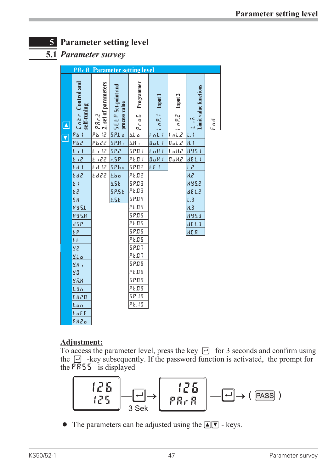## **5 Parameter setting level**

## **5.1** *Parameter survey*

| <b>PR<sub>r</sub> R</b> Parameter setting level |                                    |                                            |                   |                |                                                       |                                  |       |
|-------------------------------------------------|------------------------------------|--------------------------------------------|-------------------|----------------|-------------------------------------------------------|----------------------------------|-------|
| Loke Control and<br>self-tuning                 | $ P R r Z$<br>2. set of parameters | <b>SELP</b> Set-point and<br>process value | Programmer        | Input 1        | $\cap P.Z$ Input 2                                    | <b>Limit value functions</b>     |       |
|                                                 |                                    |                                            | Pro G             | $\overline{q}$ |                                                       | $\frac{1}{\sqrt{1-\frac{1}{2}}}$ | p u 3 |
| <u>pb (</u>                                     | <u>Pb 12</u>                       | 5 P.L.o                                    | <u>b.L o</u>      | LoL.           | InLZ                                                  |                                  |       |
| Pb2                                             | <u>Pb22</u>                        | SPH                                        | hH                | Bul.           | $B$ ut.2                                              | R.I                              |       |
| $\frac{1}{\sqrt{2}}$<br><u>t</u>                | 21.12                              | <u>5P.2</u>                                | <u> 5 P.O. L</u>  | 1 nR           | <u> Ln KZ</u>                                         | <u> 895. L</u>                   |       |
| <u>k i 2</u>                                    | <u>E 122</u>                       | <u>r.5P</u>                                | <u>PE.O I</u>     | $B$ u $R$ (    | $\underline{\mathbf{B}}$ of $\mathbf{R}$ $\mathbf{Z}$ | <u>dEL.1</u>                     |       |
| <u>Ed 1</u>                                     | Ed 12                              | 5P.b.o                                     | 5 P.0 2           | EF.I           |                                                       | L.Z                              |       |
| <u>Ed2</u>                                      | £d22                               | k.b.o                                      | <u>PE.02</u>      |                |                                                       | <u>us</u>                        |       |
| E I                                             |                                    | <b>9.5 E</b>                               | 5 P.O 3           |                |                                                       | 885.2                            |       |
| 53                                              |                                    | 5P.5E                                      | PE.03             |                |                                                       | dEL.2                            |       |
| <b>5H</b>                                       |                                    | <b>E.5</b> E                               | 5 P.O.Y           |                |                                                       | $L.\overline{3}$                 |       |
| 8951                                            |                                    |                                            | PEOY              |                |                                                       | К3                               |       |
| <b>HY5.H</b>                                    |                                    |                                            | 5 P.0 S           |                |                                                       | 895.3                            |       |
| dSP                                             |                                    |                                            | PE.05             |                |                                                       | dE L.3                           |       |
| ξP                                              |                                    |                                            | 5 P.0 6           |                |                                                       | HE.R                             |       |
| ŁŁ                                              |                                    |                                            | PE.06             |                |                                                       |                                  |       |
| <u>92</u>                                       |                                    |                                            | 5 P.O.T           |                |                                                       |                                  |       |
| SL o                                            |                                    |                                            | P E.B.7           |                |                                                       |                                  |       |
| ЧΗ,                                             |                                    |                                            | 5 P.08            |                |                                                       |                                  |       |
| 90                                              |                                    |                                            | P <sub>L</sub> BB |                |                                                       |                                  |       |
| 97.X                                            |                                    |                                            | 5 P.O 9           |                |                                                       |                                  |       |
| LYA                                             |                                    |                                            | PL09              |                |                                                       |                                  |       |
| E.H20                                           |                                    |                                            | 58.10             |                |                                                       |                                  |       |
| <u>k.on</u>                                     |                                    |                                            | PE. 10            |                |                                                       |                                  |       |
| E.aEF                                           |                                    |                                            |                   |                |                                                       |                                  |       |
| FHZa                                            |                                    |                                            |                   |                |                                                       |                                  |       |

## **Adjustment:**

To access the parameter level, press the key  $\Box$  for 3 seconds and confirm using the  $\Box$  -key subsequently. If the password function is activated, the prompt for the  $\overline{PR}$ 55 is displayed



• The parameters can be adjusted using the  $\blacksquare \blacksquare$  - keys.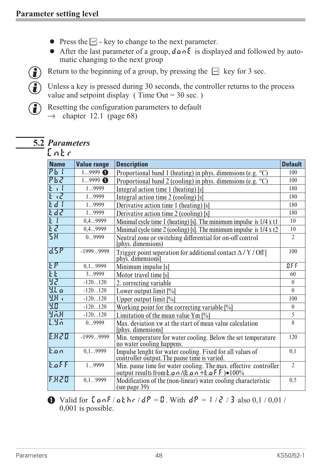- 
- Press the  $\boxdot$  key to change to the next parameter.<br>• After the last parameter of a group,  $d \textbf{a} \cdot \textbf{b}$  is displematic changing to the next group After the last parameter of a group,  $d \rho \circ h \in E$  is displayed and followed by auto-<br>matic changing to the next group<br>Return to the beginning of a group, by pressing the  $\Box$  key for 3 sec. matic changing to the next group

Return to the beginning of a group, by pressing the  $\Box$  key for 3 sec.<br>
(<br>
These a key is pressed during 30 seconds, the controller returns to the Unless a key is pressed during 30 seconds, the controller returns to the process value and setpoint display (Time Out = 30 sec.) value and setpoint display ( Time Out  $=$  30 sec.)



(a) Resetting the configuration parameters to default  $\rightarrow$  chapter 12.1 (page 68)

## **5.2** *Parameters*



| <b>Name</b>        | <b>Value range</b> | <b>Description</b>                                                                                                                               | <b>Default</b> |
|--------------------|--------------------|--------------------------------------------------------------------------------------------------------------------------------------------------|----------------|
| $Pb$ (             | $19999$ $\bullet$  | Proportional band 1 (heating) in phys. dimensions (e.g. °C)                                                                                      | 100            |
| PbZ                | $19999$ $\bullet$  | Proportional band 2 (cooling) in phys. dimensions (e.g. $\textdegree$ C)                                                                         | 100            |
|                    | 19999              | Integral action time 1 (heating) [s]                                                                                                             | 180            |
| $\overline{z}$     | 19999              | Integral action time 2 (cooling) [s]                                                                                                             | 180            |
| E d                | 19999              | Derivative action time 1 (heating) [s]                                                                                                           | 180            |
| Edd                | 19999              | Derivative action time 2 (cooling) [s]                                                                                                           | 180            |
| <b>E</b> {         | 0,49999            | Minimal cycle time 1 (heating) [s]. The minimum impulse is $1/4 \times 11$                                                                       | 10             |
| $E$ $\overline{c}$ | 0,49999            | Minimal cycle time 2 (cooling) [s]. The minimum impulse is $1/4 \times t2$                                                                       | 10             |
| <b>5X</b>          | 09999              | Neutral zone or switching differential for on-off control<br>(phys. dimensions)                                                                  | $\overline{2}$ |
| dSP                | $-19999999$        | Trigger point seperation for additional contact $\Delta$ / Y / Off [<br>phys. dimensions]                                                        | 100            |
| <b>LP</b>          | 0,19999            | Minimum impulse [s]                                                                                                                              | BFE            |
| <b>LE</b>          | 39999              | Motor travel time [s]                                                                                                                            | 60             |
| 35                 | $-120120$          | 2. correcting variable                                                                                                                           | $\theta$       |
| 9.50               | $-120120$          | Lower output limit $[\%]$                                                                                                                        | $\theta$       |
| 图1                 | $-120120$          | Upper output limit [%]                                                                                                                           | 100            |
| 30                 | $-120120$          | Working point for the correcting variable [%]                                                                                                    | $\overline{0}$ |
| <b>YAK</b>         | $-120120$          | Limitation of the mean value Ym $[\%]$                                                                                                           | 5              |
| 1.50               | 09999              | Max. deviation xw at the start of mean value calculation<br>[phys. dimensions]                                                                   | 8              |
| EXZO               | $-19999999$        | Min. temperature for water cooling. Below the set temperature<br>no water cooling happens.                                                       | 120            |
| lt.on              | 0,19999            | Impulse lenght for water cooling. Fixed for all values of<br>controller output. The pause time is varied.                                        | 0,1            |
| E.                 | 19999              | Min. pause time for water cooling. The max. effective controller<br>output results from $\epsilon$ o $n/(k \cdot a n + k \cdot a)$ f $F > 100\%$ | $\overline{2}$ |
| F.HZD              | 0,19999            | Modification of the (non-linear) water cooling characteristic<br>(see page 39)                                                                   | 0, 5           |

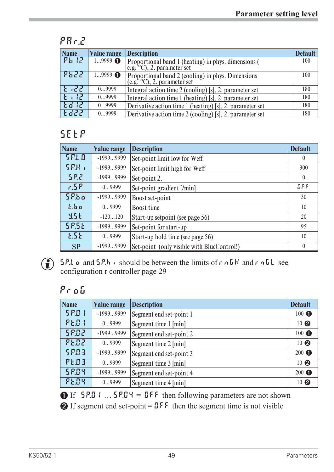## **PAr.2**

| Name    | <b>Value range</b> | <b>Description</b>                                                                | <b>Default</b> |
|---------|--------------------|-----------------------------------------------------------------------------------|----------------|
| Pb 12   | $19999$ $\bullet$  | Proportional band 1 (heating) in phys. dimensions (<br>e.g. °C), 2. parameter set | 100            |
| Pb22    | $19999$ $\bullet$  | Proportional band 2 (cooling) in phys. Dimensions<br>(e.g. °C), 2. parameter set  | 100            |
| E 122   | 09999              | Integral action time 2 (cooling) [s], 2. parameter set                            | 180            |
| $k + l$ | 09999              | Integral action time 1 (heating) [s], 2. parameter set                            | 180            |
| Edd1P   | 09999              | Derivative action time 1 (heating) [s], 2. parameter set                          | 180            |
| よるさき    | 09999              | Derivative action time 2 (cooling) [s], 2. parameter set                          | 180            |

## **SEtP**

| <b>Name</b>     | <b>Value range</b> | <b>Description</b>                         | <b>Default</b>   |
|-----------------|--------------------|--------------------------------------------|------------------|
| 5210            | -19999999          | Set-point limit low for Weff               | $\boldsymbol{0}$ |
| SP.H.           | $-19999999$        | Set-point limit high for Weff              | 900              |
| 582             | $-19999999$        | Set-point 2.                               | $\theta$         |
| 6.5P            | 09999              | Set-point gradient [/min]                  | BFF              |
| $5P$ bo         | $-19999999$        | Boost set-point                            | 30               |
| $k$ , $b$ , $a$ | 09999              | Boost time                                 | 10               |
| <b>YSE</b>      | $-120120$          | Start-up setpoint (see page 56)            | 20               |
| <b>SP.SE</b>    | $-19999999$        | Set-point for start-up                     | 95               |
| <b>E.5E</b>     | 09999              | Start-up hold time (see page 56)           | 10               |
| <b>SP</b>       | -19999999          | Set-point (only visible with BlueControl!) | $\theta$         |



**g**  $5P.La$  and  $5P.h$  is hould be between the limits of rnGH and rnGL see configuration r controller page 29

## **ProG**

| <b>Name</b> | <b>Value range</b> | <b>Description</b>      |                 |
|-------------|--------------------|-------------------------|-----------------|
| 5201        | $-19999999$        | Segment end set-point 1 | $100$ $\bullet$ |
| PE.O        | 09999              | Segment time 1 [min]    | $10$ $\odot$    |
| 5802        | $-19999999$        | Segment end set-point 2 | $100$ $\bullet$ |
| PEO2        | 09999              | Segment time 2 [min]    | $10$ $\odot$    |
| 5203        | $-19999999$        | Segment end set-point 3 | $200$ $\bullet$ |
| <b>PE03</b> | 09999              | Segment time 3 [min]    | $10$ $\odot$    |
| 5204        | $-19999999$        | Segment end set-point 4 | $200$ $\bullet$ |
| PEOY        | 09999              | Segment time 4 [min]    | 10 <sub>2</sub> |

**1** If  $5P.01$  ...  $5P.04 = 075$  then following parameters are not shown  $\odot$  If segment end set-point =  $\mathbb{I}$ FF then the segment time is not visible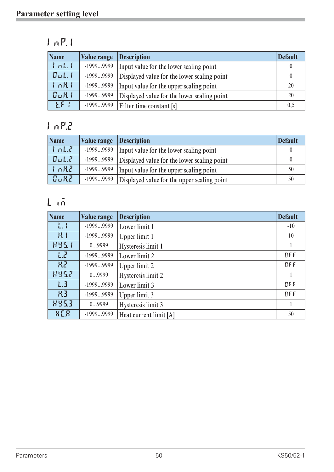## **InP.1**

| <b>Name</b> | <b>Value range</b> | <b>Description</b>                          | <b>Default</b> |
|-------------|--------------------|---------------------------------------------|----------------|
| nL,         | $-19999999$        | Input value for the lower scaling point     |                |
| Bul.        | $-19999999$        | Displayed value for the lower scaling point | $\theta$       |
| nKL         | $-19999999$        | Input value for the upper scaling point     | 20             |
| $B \cup H$  | $-19999999$        | Displayed value for the lower scaling point | 20             |
| FF 1        | $-19999999$        | Filter time constant [s]                    | 0,5            |

## **InP.2**

| <b>Name</b> | Value range Description |                                                         | <b>Default</b> |
|-------------|-------------------------|---------------------------------------------------------|----------------|
| nLZ         |                         | -19999999   Input value for the lower scaling point     |                |
| BulZ        |                         | -19999999   Displayed value for the lower scaling point |                |
| nRT         | $-19999999$             | Input value for the upper scaling point                 | 50             |
| $B_0 HZ$    |                         | -19999999   Displayed value for the upper scaling point | 50             |

## **Lim**

| <b>Name</b>  | Value range | <b>Description</b>     | <b>Default</b> |
|--------------|-------------|------------------------|----------------|
| $\mathbf{L}$ | $-19999999$ | Lower limit 1          | $-10$          |
| $H_1$        | $-19999999$ | Upper limit 1          | 10             |
| <b>HY5.1</b> | 09999       | Hysteresis limit 1     |                |
| LZ           | $-19999999$ | Lower limit 2          | BFF            |
| 82           | $-19999999$ | Upper limit 2          | BFF            |
| 8952         | 09999       | Hysteresis limit 2     |                |
| 1.3          | $-19999999$ | Lower limit 3          | BFF            |
| HJ           | $-19999999$ | Upper limit 3          | BFF            |
| 8953         | 09999       | Hysteresis limit 3     |                |
| HER          | $-19999999$ | Heat current limit [A] | 50             |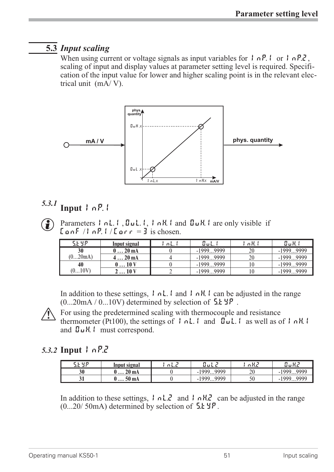## **5.3** *Input scaling*

When using current or voltage signals as input variables for  $\vert \cdot \vert nP$ .  $\vert \cdot \vert nP$ .  $\vert \cdot \vert nP$ . scaling of input and display values at parameter setting level is required. Specification of the input value for lower and higher scaling point is in the relevant electrical unit (mA/ V).



## $5.3.1$  **Input**  $\ln P$ .

 $\bigodot$  Parameters  $\bigcup$  n.l.,  $\bigcup$  u.l.,  $\bigcup$  n.l.  $\bigcup$  and  $\bigcup$   $\bigcup$   $\bigcup$  are only visible if  $\text{LanF}$  / InP. I /  $\text{Lar}r = 3$  is chosen.

| <b>SEYP</b> | Input signal        | 'nL. | Out.        | $nH_1$ | 0aK (       |
|-------------|---------------------|------|-------------|--------|-------------|
| 30          | $0 \ldots 20$ mA    |      | $-19999999$ | 20     | $-19999999$ |
| (020m)      | $420 \,\mathrm{mA}$ |      | $-19999999$ | 20     | $-19999999$ |
| 40          | $0 \dots 10 V$      |      | $-19999999$ |        | $-19999999$ |
| (010V)      | $\sim$ 10 V         |      | $-19999999$ |        | $-19999999$ |

In addition to these settings,  $| \cdot h|$ .  $| \cdot h|$ .  $| \cdot h|$ .  $| \cdot |$  can be adjusted in the range  $(0...20mA / 0...10V)$  determined by selection of  $5.1 \text{ yr}$ .

For using the predetermined scaling with thermocouple and resistance<br>thermometer (Pt100), the settings of  $\int nL$ .  $\int$  and  $\int uL$ .  $\int$  as well as  $\int$  and  $\int uH$   $\int$  must correspond thermometer (Pt100), the settings of  $| \cdot n \cdot L |$  and  $\overline{u} \cdot L |$  as well as of  $| \cdot nH |$ . and OuH.1 must correspond.

## *5.3.2* **Input InP.2**

| CL UD<br>المراجع  | Input signal | 9 L.C | ப்பட்             | .  |              |
|-------------------|--------------|-------|-------------------|----|--------------|
| 30                | 20 mA        |       | 9999<br>1000<br>- | 20 | 0000<br>1000 |
| 91<br>$J_{\perp}$ | 50 mA        |       | 9999<br>1999      | 50 | 0000<br>1000 |

In addition to these settings, InL.2 and InH.2 can be adjusted in the range  $(0...20/50mA)$  determined by selection of  $5.1 \text{ yr}$ .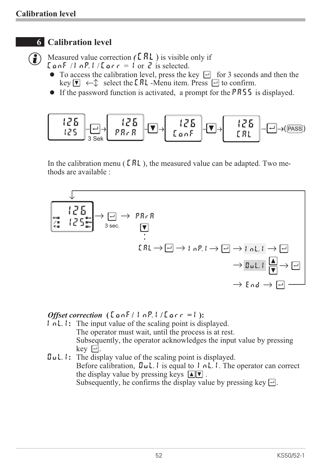## **6 Calibration level**

- $\text{LanF}$  / InP. I /  $\text{Lar} r = 1$  or  $\overline{e}$  is selected.
- G Measured value correction  $(\text{ERL})$  is visible only if<br>  $\begin{bmatrix} \text{C} \text{ on } F \end{bmatrix}$  /  $\begin{bmatrix} \text{C} \text{ on } F \end{bmatrix}$  /  $\begin{bmatrix} \text{C} \text{ on } F \end{bmatrix}$  /  $\begin{bmatrix} \text{C} \text{ on } F \end{bmatrix}$  /  $\begin{bmatrix} \text{C} \text{ on } F \end{bmatrix}$  /  $\begin{bmatrix} \text{C} \text{ on } F \end{bmatrix}$ • To access the calibration level, press the key  $\Box$  for 3 seconds and then the key  $\Box \leftarrow \Diamond$  select the *ERL* -Menu item. Press  $\Box$  to confirm.<br>• If the password function is activated, a prompt for the **PR55** is displ key  $\nabla \leftarrow \mathcal{D}$  select the **CAL**-Menu item. Press  $\Box$  to confirm.
	- If the password function is activated, a prompt for the  $PR55$  is displayed.



In the calibration menu ( $\textsf{LRL}$ ), the measured value can be adapted. Two methods are available :



*Offset correction* **( ConF/ InP.1 / Corr =1 ):**

- **InL.1:** The input value of the scaling point is displayed. The operator must wait, until the process is at rest. Subsequently, the operator acknowledges the input value by pressing key  $\Box$ .
- **OuL.1:** The display value of the scaling point is displayed. Before calibration,  $\mathbf{I} \cup \mathbf{L}$ , is equal to  $\mathbf{I} \cap \mathbf{L}$ . The operator can correct the display value by pressing keys  $\boxed{\blacktriangle \blacktriangledown}$ . Subsequently, he confirms the display value by pressing key  $\Box$ .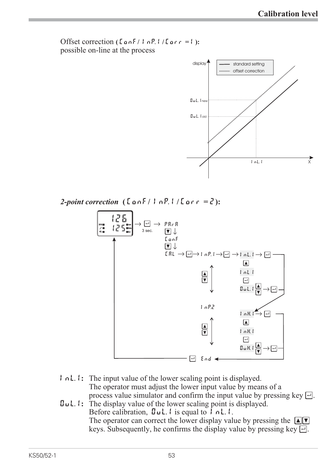Offset correction **( ConF/ InP.1 / Corr =1 ):** possible on-line at the process



*2-point correction* **( ConF/ InP.1 / Corr = 2):**



- **InL.1:** The input value of the lower scaling point is displayed. The operator must adjust the lower input value by means of a process value simulator and confirm the input value by pressing key  $\Box$ .
- **OuL.1:** The display value of the lower scaling point is displayed. Before calibration,  $\mathbf{u}_1$ . I is equal to  $\mathbf{l}_1$ ,  $\mathbf{l}_2$ . The operator can correct the lower display value by pressing the  $\Box \Box$ keys. Subsequently, he confirms the display value by pressing key  $\Box$ .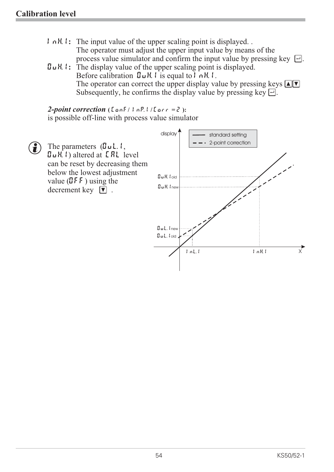- **InH.1:** The input value of the upper scaling point is displayed. . The operator must adjust the upper input value by means of the process value simulator and confirm the input value by pressing key  $\Box$ .
- OuH.1**:** The display value of the upper scaling point is displayed. Before calibration  $\mathbf{u} \mathbf{H}$ . I is equal to I  $\alpha \mathbf{H}$ . I. The operator can correct the upper display value by pressing keys  $\boxed{\triangleleft}$ Subsequently, he confirms the display value by pressing key  $\Box$ .

*2-point correction* **( ConF/ InP.1 / Corr = 2 ):** is possible off-line with process value simulator

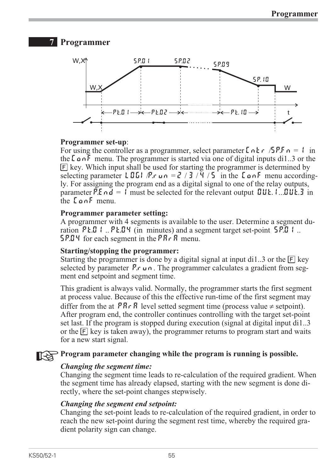## **7 Programmer**



#### **Programmer set-up**:

For using the controller as a programmer, select parameter  $\Gamma \cap \Gamma$   $\Gamma$  /SP.F<sub>n</sub> = 1 in the  $\zeta$  on F menu. The programmer is started via one of digital inputs di1..3 or the  $[F]$  key. Which input shall be used for starting the programmer is determined by selecting parameter LOGI/P.run =  $2/3/4/5$  in the LonF menu accordingly. For assigning the program end as a digital signal to one of the relay outputs, parameter P.E  $nd = 1$  must be selected for the relevant output  $\mathbf{I} \mathbf{U} \mathbf{L}$ .  $\mathbf{I} \mathbf{U} \mathbf{L} \mathbf{I}$  in the ConF menu.

#### **Programmer parameter setting:**

A programmer with 4 segments is available to the user. Determine a segment duration  $P \& .01 \& .. P \& .04$  (in minutes) and a segment target set-point  $\$P.01 \& ..$ **SP.04** for each segment in the  $PR \nI$ <sup>R</sup> menu.

#### **Starting/stopping the programmer:**

Starting the programmer is done by a digital signal at input di1..3 or the  $\boxed{F}$  key selected by parameter  $\vec{P}$ .  $\vec{v}$  and The programmer calculates a gradient from segment end setpoint and segment time.

This gradient is always valid. Normally, the programmer starts the first segment at process value. Because of this the effective run-time of the first segment may differ from the at  $P R \cdot R$  level setted segment time (process value  $\neq$  setpoint). After program end, the controller continues controlling with the target set-point set last. If the program is stopped during execution (signal at digital input di1..3 or the  $\overline{F}$  key is taken away), the programmer returns to program start and waits for a new start signal.

## **Program parameter changing while the program is running is possible.**

#### *Changing the segment time:*

Changing the segment time leads to re-calculation of the required gradient. When the segment time has already elapsed, starting with the new segment is done directly, where the set-point changes stepwisely.

#### *Changing the segment end setpoint:*

Changing the set-point leads to re-calculation of the required gradient, in order to reach the new set-point during the segment rest time, whereby the required gradient polarity sign can change.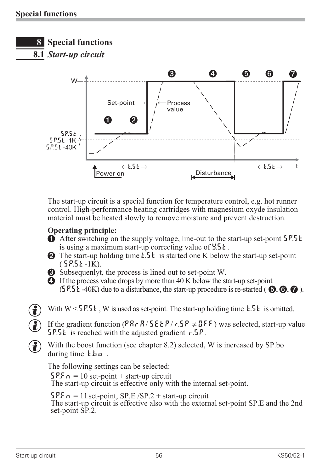

**8.1** *Start-up circuit*



The start-up circuit is a special function for temperature control, e.g. hot runner control. High-performance heating cartridges with magnesium oxyde insulation material must be heated slowly to remove moisture and prevent destruction.

## **Operating principle:**

- 1 After switching on the supply voltage, line-out to the start-up set-point 5P.5 kg is using a maximum start-up correcting value of  $4.5k$ .
- 2 The start-up holding time  $\mathbf{1} \cdot \mathbf{5} \cdot \mathbf{k}$  is started one K below the start-up set-point  $(5P.5k-1K).$
- 3 Subsequenlyt, the process is lined out to set-point W.
- 4 If the process value drops by more than 40 K below the start-up set-point  $(5P.5\epsilon - 40K)$  due to a disturbance, the start-up procedure is re-started ( $\Theta$ ,  $\Theta$ ,  $\Omega$ ).
- With W < 5P.5 k, W is used as set-point. The start-up holding time k.5 k is omitted.<br> **(A)** If the gradient function (PR r R / 5 E k P / r .5 P  $\neq$  UF F ) was selected, start-up varity

**G** If the gradient function (PRr R/ SE EP/ r.SP  $\neq$  OFF) was selected, start-up value<br>5P.SE is reached with the adjusted gradient r.SP. **SP.5** is reached with the adjusted gradient  $r.5P$ .

With the boost function (see chapter 8.2) selected, W is increased by SP.bo during time **t**.bo.

The following settings can be selected:

 $\mathsf{SPE}_{n} = 10$  set-point + start-up circuit The start-up circuit is effective only with the internal set-point.

 $SPF_n = 11$  set-point,  $SP.E/SP.2 + start-up circuit$ The start-up circuit is effective also with the external set-point SP.E and the 2nd set-point SP.2.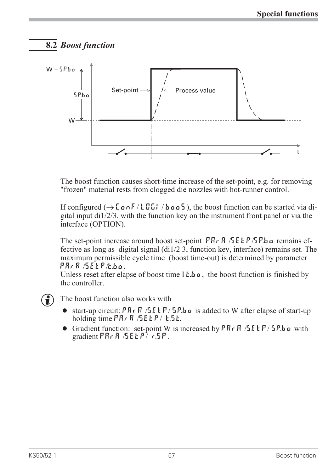## **8.2** *Boost function*



The boost function causes short-time increase of the set-point, e.g. for removing "frozen" material rests from clogged die nozzles with hot-runner control.

If configured  $(\rightarrow$  [  $a \cdot$  F / L II ] /  $b \cdot a \cdot a$  5), the boost function can be started via digital input di1/2/3, with the function key on the instrument front panel or via the interface (OPTION).

The set-point increase around boost set-point  $PR \nvert R \nvert R$  /5 E  $E \nvert P$  /5 P b a remains effective as long as digital signal (di1/2 3, function key, interface) remains set. The maximum permissible cycle time (boost time-out) is determined by parameter PArA /SEtP/t.bo.

Unless reset after elapse of boost time  $I \epsilon \cdot b \rho$ , the boost function is finished by the controller.

- The boost function also works with<br>
 start-up circuit:  $PR \cdot R / 5 \in \mathbb{F}/2$ • start-up circuit: PRr R / SE EP / SP.b o is added to W after elapse of start-up holding time PRr R / SE EP / E.SE.<br>
● Gradient function: set-point W is increased by PRr R / SE EP / SP.b o with holding time  $PR \cap R$  / $SE \subseteq P / E \subseteq E$ .
	- Gradient function: set-point W is increased by  $PR \nvert R$  /  $SE \nvert P$  /  $SP$ .bo with gradient PR $rR$  /SEEP/  $r.5P$ .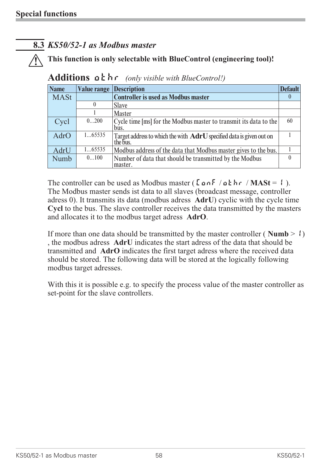## **8.3** *KS50/52-1 as Modbus master*

#### a **This function is only selectable with BlueControl (engineering tool)!**

| <b>Name</b> | Value range | <b>Description</b>                                                                 | <b>Default</b> |
|-------------|-------------|------------------------------------------------------------------------------------|----------------|
| <b>MASt</b> |             | <b>Controller is used as Modbus master</b>                                         | $\theta$       |
|             |             | <b>Slave</b>                                                                       |                |
|             |             | <b>Master</b>                                                                      |                |
| Cycl        | 0200        | Cycle time [ms] for the Modbus master to transmit its data to the<br>bus.          | 60             |
| AdrO        | 165535      | Target address to which the with $AdrU$ specified data is given out on<br>the bus. |                |
| AdrU        | 165535      | Modbus address of the data that Modbus master gives to the bus.                    |                |
| Numb        | 0100        | Number of data that should be transmitted by the Modbus<br>master.                 |                |

**Additions othr** *(only visible with BlueControl!)*

The controller can be used as Modbus master ( $\[\text{LonF}/\text{aE}\]$  / $\text{MASt} = \]$ ). The Modbus master sends ist data to all slaves (broadcast message, controller adress 0). It transmits its data (modbus adress **AdrU**) cyclic with the cycle time **Cycl** to the bus. The slave controller receives the data transmitted by the masters and allocates it to the modbus target adress **AdrO**.

If more than one data should be transmitted by the master controller ( $\text{Numb} > \{\}$ ) , the modbus adress **AdrU** indicates the start adress of the data that should be transmitted and **AdrO** indicates the first target adress where the received data should be stored. The following data will be stored at the logically following modbus target adresses.

With this it is possible e.g. to specify the process value of the master controller as set-point for the slave controllers.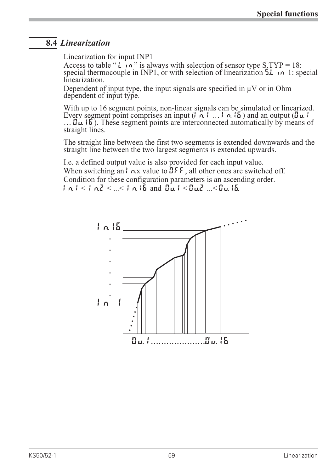## **8.4** *Linearization*

Linearization for input INP1

Access to table " $\mathsf{L}$  in" is always with selection of sensor type S.TYP = 18: special thermocouple in INP1, or with selection of linearization 5.1 in 1: special linearization.

Dependent of input type, the input signals are specified in  $\mu$ V or in Ohm dependent of input type.

With up to 16 segment points, non-linear signals can be simulated or linearized.<br>Every segment point comprises an input  $(1, 0, 1, \ldots, 1, 0, 15)$  and an output  $(1, 0, 1, \ldots, 1, 0, 15)$  $\ldots$  In. 15). These segment points are interconnected automatically by means of straight lines.

The straight line between the first two segments is extended downwards and the straight line between the two largest segments is extended upwards.

I.e. a defined output value is also provided for each input value. When switching an  $\vert \cdot$   $\wedge$  x value to  $\overline{O}$  F F, all other ones are switched off. Condition for these configuration parameters is an ascending order.  $|1 \cap (1 \leq l \leq n) \leq l \leq n$ .  $|1 \cap (l \leq n) \leq l \leq n$ .  $|1 \cap (l \leq n) \leq l \leq n$ .  $|1 \cap (l \leq n) \leq l \leq n$ .

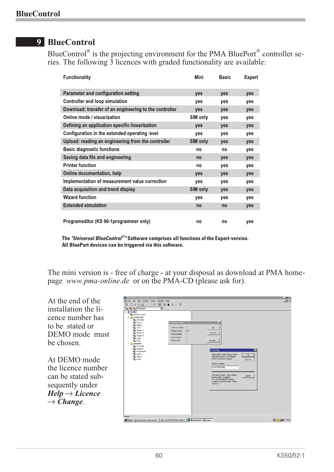## **9 BlueControl**

BlueControl<sup>®</sup> is the projecting environment for the PMA BluePort<sup>®</sup> controller series. The following 3 licences with graded functionality are available:

| <b>Functionality</b>                                   | Mini            | <b>Basic</b> | <b>Expert</b> |
|--------------------------------------------------------|-----------------|--------------|---------------|
| <b>Parameter and configuration setting</b>             | <b>ves</b>      | yes          | yes           |
| <b>Controller and loop simulation</b>                  | yes             | yes          | yes           |
| Download: transfer of an engineering to the controller | yes             | yes          | yes           |
| Online mode / visualization                            | SIM only        | yes          | yes           |
| Defining an application specific linearization         | yes             | yes          | yes           |
| Configuration in the extended operating level          | yes             | yes          | yes           |
| Upload: reading an engineering from the controller     | <b>SIM only</b> | yes          | yes           |
| <b>Basic diagnostic functions</b>                      | no              | no           | yes           |
| Saving data file and engineering                       | no              | yes          | yes           |
| <b>Printer function</b>                                | no              | yes          | yes           |
| Online documentation, help                             | yes             | yes          | yes           |
| Implementation of measurement value correction         | yes             | yes          | yes           |
| Data acquisition and trend display                     | SIM only        | yes          | yes           |
| <b>Wizard function</b>                                 | yes             | yes          | yes           |
| <b>Extended simulation</b>                             | no              | no           | yes           |
| Programeditor (KS 90-1programmer only)                 | no              | no           | yes           |

 $\overline{\ }$ The *"Universal BlueControl* $^\circ$ *"* Software comprises all functions of the Expert-version. **All BluePort devices can be triggered via this software.**

The mini version is - free of charge - at your disposal as download at PMA homepage *www.pma-online.de* or on the PMA-CD (please ask for).

At the end of the installation the licence number has to be stated or DEMO mode must be chosen.

At DEMO mode the licence number can be stated subsequently under  $Help \rightarrow License$  $\rightarrow$  *Change.* 

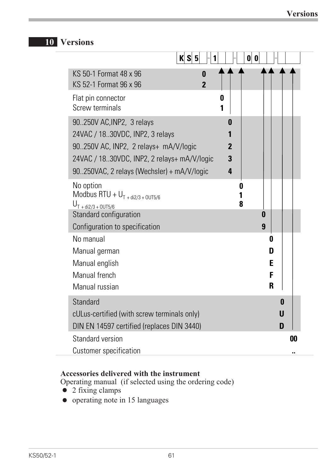## **10 Versions**

|                                                                                                                                                                                                         | K S 5 <br>1         | 0                          | 0                     |    |
|---------------------------------------------------------------------------------------------------------------------------------------------------------------------------------------------------------|---------------------|----------------------------|-----------------------|----|
| KS 50-1 Format 48 x 96<br>KS 52-1 Format 96 x 96                                                                                                                                                        | 0<br>$\overline{2}$ |                            |                       |    |
| Flat pin connector<br><b>Screw terminals</b>                                                                                                                                                            |                     | 0<br>1                     |                       |    |
| 90.250V AC, INP2, 3 relays<br>24VAC / 18.30VDC, INP2, 3 relays<br>90.250V AC, INP2, 2 relays+ mA/V/logic<br>24VAC / 18.30VDC, INP2, 2 relays+ mA/V/logic<br>90.250VAC, 2 relays (Wechsler) + mA/V/logic |                     | O<br>$\mathbf 2$<br>3<br>4 |                       |    |
| No option<br>Modbus RTU + $U_{T + di2/3 + 00T5/6}$<br>$U_{T + di2/3 + 0UT5/6}$<br>Standard configuration<br>Configuration to specification                                                              |                     | 0<br>8                     | 0<br>9                |    |
| No manual<br>Manual german<br>Manual english<br>Manual french<br>Manual russian                                                                                                                         |                     |                            | 0<br>D<br>E<br>F<br>R |    |
| <b>Standard</b><br>cULus-certified (with screw terminals only)<br>DIN EN 14597 certified (replaces DIN 3440)                                                                                            |                     |                            | U<br>D                | 0  |
| Standard version<br>Customer specification                                                                                                                                                              |                     |                            |                       | 00 |

## **Accessories delivered with the instrument**

Operating manual (if selected using the ordering code)<br> $\bullet$  2 fixing clamps

- 
- 2 fixing clamps<br>• operating note i • operating note in 15 languages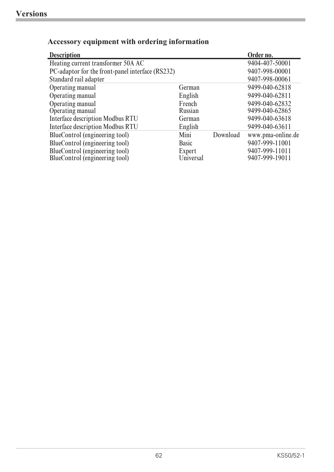| <b>Description</b>                               |              |          | Order no.         |
|--------------------------------------------------|--------------|----------|-------------------|
| Heating current transformer 50A AC               |              |          | 9404-407-50001    |
| PC-adaptor for the front-panel interface (RS232) |              |          | 9407-998-00001    |
| Standard rail adapter                            |              |          | 9407-998-00061    |
| Operating manual                                 | German       |          | 9499-040-62818    |
| Operating manual                                 | English      |          | 9499-040-62811    |
| Operating manual                                 | French       |          | 9499-040-62832    |
| Operating manual                                 | Russian      |          | 9499-040-62865    |
| <b>Interface description Modbus RTU</b>          | German       |          | 9499-040-63618    |
| <b>Interface description Modbus RTU</b>          | English      |          | 9499-040-63611    |
| BlueControl (engineering tool)                   | Mini         | Download | www.pma-online.de |
| BlueControl (engineering tool)                   | <b>Basic</b> |          | 9407-999-11001    |
| BlueControl (engineering tool)                   | Expert       |          | 9407-999-11011    |
| BlueControl (engineering tool)                   | Universal    |          | 9407-999-19011    |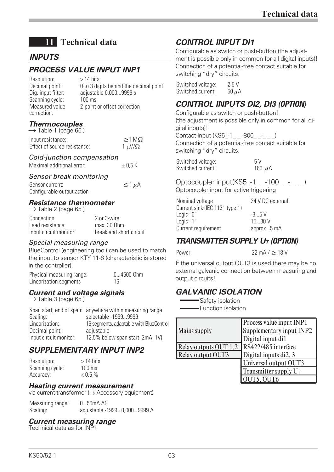## **11 Technical data**

## *INPUTS*

## *PROCESS VALUE INPUT INP1*

 $Resolution:$  > 14 hits Decimal point: 0 to 3 digits behind the decimal point Dig. input filter: adjustable 0,000...9999 s Scanning cycle: 100 ms Measured value correction: 2-point or offset correction

#### *Thermocouples*  $\rightarrow$  Table 1 (page 65)

| Y TAME I (NAYE OU )          |                     |
|------------------------------|---------------------|
| Input resistance:            | $\geq$ 1 M $\Omega$ |
| Effect of source resistance: | 1 $\mu$ V/ $\Omega$ |

#### *Cold-junction compensation*

Maximal additional error:  $\pm 0.5$  K

#### *Sensor break monitoring*

Sensor current:  $\leq 1 \mu A$ Configurable output action

#### *Resistance thermometer*

 $\rightarrow$  Table 2 (page 65)

Connection: 2 or 3-wire Lead resistance:<br>
lnout circuit monitor: break and short circuit Input circuit monitor:

#### *Special measuring range*

BlueControl (engineering tool) can be used to match the input to sensor KTY 11-6 (characteristic is stored in the controller).

#### Physical measuring range: 0...4500 Ohm Linearization segments 16

## *Current and voltage signals*

 $\rightarrow$  Table 3 (page 65)

|                        | Span start, end of span: anywhere within measuring range |
|------------------------|----------------------------------------------------------|
| Scaling:               | selectable -19999999                                     |
| Linearization:         | 16 segments, adaptable with BlueControl                  |
| Decimal point:         | adjustable                                               |
| Input circuit monitor: | 12,5% below span start (2mA, 1V)                         |
|                        |                                                          |

## *SUPPLEMENTARY INPUT INP2*

Resolution: > 14 bits Scanning cycle: 100 ms Accuracy:  $< 0.5 \%$ 

#### *Heating current measurement*

via current transformer  $(\rightarrow$  Accessory equipment)

Measuring range: 0...50mA AC Scaling: adjustable -1999...0,000...9999 A

#### *Current measuring range*

Technical data as for INP1

## *CONTROL INPUT DI1*

Configurable as switch or push-button (the adjustment is possible only in common for all digital inputs)! Connection of a potential-free contact suitable for switching "dry" circuits.

Switched voltage: 2.5 V Switched current:  $50 \mu A$ 

## *CONTROL INPUTS DI2, DI3 (OPTION)*

Configurable as switch or push-button! (the adjustment is possible only in common for all digital inputs)!

Contact-input (KS5\_-1\_ \_ -800\_ \_-\_ \_ \_) Connection of a potential-free contact suitable for switching "dry" circuits.

Switched voltage: 5V Switched current:  $160 \mu A$ 

Optocoupler input(KS5 -1 -100 - ) Optocoupler input for active triggering

| 24 V DC external |
|------------------|
|                  |
| $-3.5V$          |
| 1530 V           |
| approx 5 mA      |
|                  |

## *TRANSMITTER SUPPLY UT (OPTION)*

Power:  $22 \text{ mA} / \geq 18 \text{ V}$ 

If the universal output OUT3 is used there may be no external galvanic connection between measuring and output circuits!

## *GALVANIC ISOLATION*

Safety isolation Function isolation

| <b>Mains supply</b>                       | Process value input INP1<br>Supplementary input INP2<br>Digital input di1 |
|-------------------------------------------|---------------------------------------------------------------------------|
| Relay outputs OUT 1.2 RS422/485 interface |                                                                           |
| Relay output OUT3                         | Digital inputs di2, 3                                                     |
|                                           | Universal output OUT3                                                     |
|                                           | Transmitter supply $U_T$                                                  |
|                                           | <b>JUT5, OUT6</b>                                                         |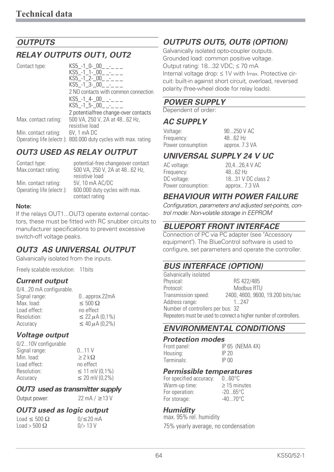## *OUTPUTS*

## *RELAY OUTPUTS OUT1, OUT2*

| Contact type:        | $KSS -1_0 - 00$ - -<br>$KS5 - 1 1 - 00 - 1$<br>KS5 -1 2-00 -<br>$KS5 - 1 - 3 - 00 - -$<br>2 NO contacts with common connection<br>$KSS - 1 - 4 - 00 - - -$<br>KS5 -1 5-00 - |
|----------------------|-----------------------------------------------------------------------------------------------------------------------------------------------------------------------------|
|                      | 2 potentialfree change-over contacts                                                                                                                                        |
| Max. contact rating: | 500 VA, 250 V, 2A at 4862 Hz,<br>resistive load                                                                                                                             |
| Min. contact rating: | 6V, 1 mA DC<br>Operating life (electr.): 800.000 duty cycles with max. rating                                                                                               |

## *OUT3 USED AS RELAY OUTPUT*

| Contact type:             | potential-free changeover contact               |
|---------------------------|-------------------------------------------------|
| Max.contact rating:       | 500 VA, 250 V, 2A at 4862 Hz,                   |
|                           | resistive load                                  |
| Min. contact rating:      | 5V, 10 mA AC/DC                                 |
| Operating life (electr.): | 600.000 duty cycles with max.<br>contact rating |

#### **Note:**

If the relays OUT1...OUT3 operate external contactors, these must be fitted with RC snubber circuits to manufacturer specifications to prevent excessive switch-off voltage peaks.

## *OUT3 AS UNIVERSAL OUTPUT*

Galvanically isolated from the inputs.

Freely scalable resolution: 11bits

#### *Current output*

| 0approx.22mA                    |
|---------------------------------|
| $\leq 500 \Omega$               |
| no effect                       |
| $\leq$ 22 $\mu$ A (0,1%)        |
| $\leq 40 \,\mu\text{A} (0.2\%)$ |
|                                 |

#### *Voltage output*

0/2...10V configurable Signal range: 0...11 V Min. load:  $\geq 2 \, k\Omega$ Load effect: no effect Resolution: **Accuracy** 

 $\leq 11$  mV (0,1%)  $\leq$  20 mV (0.2%)

## *OUT3 used as transmitter supply*

Output power:  $22 \text{ mA} / \geq 13 \text{ V}$ 

#### *OUT3 used as logic output*

 $\text{Load} \leq 500 \Omega$   $0/\leq$  $\text{Load} > 500 \Omega$  0/> 13 V

 $0/\leq 20$  mA

## *OUTPUTS OUT5, OUT6 (OPTION)*

Galvanically isolated opto-coupler outputs. Grounded load: common positive voltage. Output rating: 18...32 VDC; ≤ 70 mA Internal voltage drop: ≤ 1V with Imax. Protective circuit: built-in against short circuit, overload, reversed polarity (free-wheel diode for relay loads).

#### *POWER SUPPLY*

Dependent of order:

#### *AC SUPPLY*

| Voltage:          | 90250 V AC     |
|-------------------|----------------|
| Frequency:        | $4862$ Hz      |
| Power consumption | approx. 7.3 VA |

## *UNIVERSAL SUPPLY 24 V UC*

| AC voltage:        | 20,426,4 V AC     |
|--------------------|-------------------|
| Frequency:         | 4862 Hz           |
| DC voltage:        | 1831 V DC class 2 |
| Power consumption: | approx 7.3 VA     |
|                    |                   |

## *BEHAVIOUR WITH POWER FAILURE*

*Configuration, parameters and adjusted set-points, control mode: Non-volatile storage in EEPROM*

## *BLUEPORT FRONT INTERFACE*

Connection of PC via PC adapter (see "**Accessory equipment"). The BlueControl software is used to configure, set parameters and operate the controller.**

## *BUS INTERFACE (OPTION)*

| Galvanically isolated             |                                                                   |
|-----------------------------------|-------------------------------------------------------------------|
| Physical:                         | RS 422/485                                                        |
| Protocol:                         | Modbus RTU                                                        |
| Transmission speed:               | 2400, 4800, 9600, 19.200 bits/sec                                 |
| Address range:                    | 1 247                                                             |
| Number of controllers per bus: 32 |                                                                   |
|                                   | Repeaters must be used to connect a higher number of controllers. |

## *ENVIRONMENTAL CONDITIONS*

#### *Protection modes*

| Front panel: |       | IP 65 (NEMA 4X) |
|--------------|-------|-----------------|
| Housing:     | IP 20 |                 |
| Terminals:   | IP 00 |                 |

#### *Permissible temperatures*

| For specified accuracy: | $060^{\circ}C$    |
|-------------------------|-------------------|
| Warm-up time:           | $\geq$ 15 minutes |
| For operation:          | $-2065$ °C        |
| For storage:            | $-4070$ °C        |

#### *Humidity*

max. 95% rel. humidity 75% yearly average, no condensation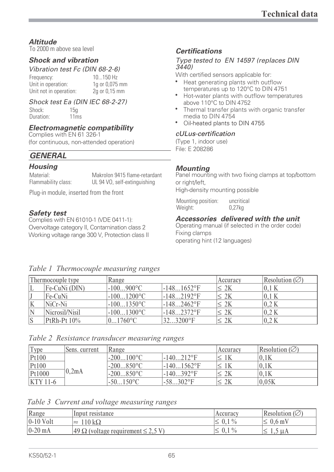#### *Altitude*

To 2000 m above sea level

#### *Shock and vibration*

#### *Vibration test Fc (DIN 68-2-6)*

Frequency: 10...150 Hz Unit in operation: 1g or 0,075 mm Unit not in operation: 2g or 0,15 mm

#### *Shock test Ea (DIN IEC 68-2-27)*

Shock: 15g Duration: 11ms

#### *Electromagnetic compatibility*

Complies with EN 61 326-1 (for continuous, non-attended operation)

## *GENERAL*

#### *Housing*

Material: Makrolon 9415 flame-retardant<br>
Flammability class: UL 94 VO, self-extinguishing UL 94 VO, self-extinguishing

Plug-in module, inserted from the front

## *Safety test*

Complies with EN 61010-1 (VDE 0411-1): Overvoltage category II, Contamination class 2 Working voltage range 300 V, Protection class II

*Table 1 Thermocouple measuring ranges*

#### *Certifications*

#### *Type tested to EN 14597 (replaces DIN 3440)*

With certified sensors applicable for:

- Heat generating plants with outflow temperatures up to 120°C to DIN 4751
- Hot-water plants with outflow temperatures above 110°C to DIN 4752
- Thermal transfer plants with organic transfer media to DIN 4754
- Oil-heated plants to DIN 4755

#### *cULus-certification*

(Type 1, indoor use) File: E 208286

#### *Mounting*

Panel mounting with two fixing clamps at top/bottom or right/left, High-density mounting possible

Mounting position: uncritical Weight: 0,27kg

#### *Accessories delivered with the unit*

Operating manual (if selected in the order code) Fixing clamps

operating hint (12 languages)

|    | Thermocouple type | Range                  |               | Accuracy   | Resolution ( $\varnothing$ ) |
|----|-------------------|------------------------|---------------|------------|------------------------------|
|    | Fe-CuNi (DIN)     | $-100900$ °C           | $-1481652$ °F | $\leq 2K$  | 0.1K                         |
|    | Fe-CuNi           | $-1001200$ °C          | $-1482192$ °F | $\leq 2K$  | 0.1K                         |
| ΙK | $NiCr-Ni$         | $-1001350$ °C          | $-1482462$ °F | $\leq 2K$  | 0.2K                         |
| IN | Nicrosil/Nisil    | $-1001300$ °C          | $-1482372$ °F | $\leq 2K$  | 0.2K                         |
| S  | $PtRh-Pt 10%$     | $01760$ <sup>o</sup> C | 323200°F      | $\cdot$ 2K | 0.2K                         |

#### *Table 2 Resistance transducer measuring ranges*

| 'Type      | Sens. current | Range        |               | Accuracy             | Resolution $(\emptyset)$ |
|------------|---------------|--------------|---------------|----------------------|--------------------------|
| Pt100      |               | $-200100$ °C | $-140212$ °F  |                      | 0.1K                     |
| Pt100      |               | $-200850$ °C | $-1401562$ °F |                      | 0.1K                     |
| Pt1000     | 0,2mA         | $-200850$ °C | $-140392$ °F  | $\stackrel{.}{.} 2K$ | 0.1K                     |
| $KTY$ 11-6 |               | $50150$ °C   | $-58302$ °F   |                      | 0.05K                    |

*Table 3 Current and voltage measuring ranges*

| Range        | Input resistance                                            | Accuracy     | Resolution $(\emptyset)$ |
|--------------|-------------------------------------------------------------|--------------|--------------------------|
| $ 0-10$ Volt | $110 \text{ k}\Omega$<br>$\approx$                          | $\leq 0.1\%$ | $\leq 0.6$ mV            |
| $0-20$ mA    | $\left 49 \Omega\right $ (voltage requirement $\leq 2.5$ V) | $\leq 0.1\%$ |                          |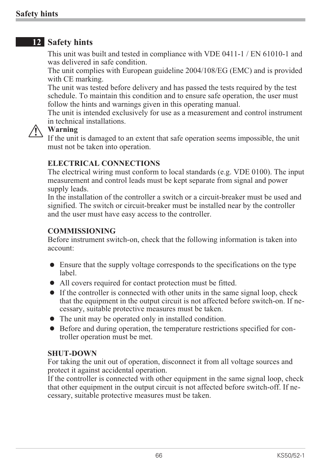## **12 Safety hints**

This unit was built and tested in compliance with VDE 0411-1 / EN 61010-1 and was delivered in safe condition.

The unit complies with European guideline 2004/108/EG (EMC) and is provided with CE marking.

The unit was tested before delivery and has passed the tests required by the test schedule. To maintain this condition and to ensure safe operation, the user must follow the hints and warnings given in this operating manual.

The unit is intended exclusively for use as a measurement and control instrument in technical installations.

**1** Warning<br>If the unit<br>must not If the unit is damaged to an extent that safe operation seems impossible, the unit must not be taken into operation.

## **ELECTRICAL CONNECTIONS**

The electrical wiring must conform to local standards (e.g. VDE 0100). The input measurement and control leads must be kept separate from signal and power supply leads.

In the installation of the controller a switch or a circuit-breaker must be used and signified. The switch or circuit-breaker must be installed near by the controller and the user must have easy access to the controller.

## **COMMISSIONING**

Before instrument switch-on, check that the following information is taken into account:

- <ul>\n<li>■ Since that the supply voltage corresponds to the specifications on the type label.</li>\n<li>■ All covers required for contact protection must be fitted.</li>\n<li>■ If the controller is connected with other units in the same signal loop, check</li>\n</ul> label.
- All covers required for contact protection must be fitted.
- If the controller is connected with other units in the same signal loop, check that the equipment in the output circuit is not affected before switch-on. If necessary, suitable protective measures must be taken.\n\n<math display="block">\begin{bmatrix}\n\text{if } n = 0 \\
\text{if } n = 1\n\end{bmatrix}</math> that the equipment in the output circuit is not affected before switch-on. If necessary, suitable protective measures must be taken.
- 
- The unit may be operated only in installed condition.<br>• Before and during operation, the temperature restrict troller operation must be met. • Before and during operation, the temperature restrictions specified for con-<br>troller operation must be met. troller operation must be met.

## **SHUT-DOWN**

For taking the unit out of operation, disconnect it from all voltage sources and protect it against accidental operation.

If the controller is connected with other equipment in the same signal loop, check that other equipment in the output circuit is not affected before switch-off. If necessary, suitable protective measures must be taken.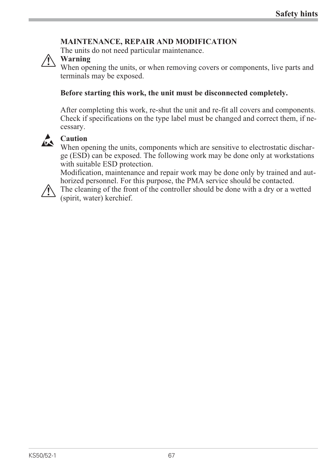## **MAINTENANCE, REPAIR AND MODIFICATION**

The units do not need particular maintenance.



**1** Warning<br>When ope<br>terminals When opening the units, or when removing covers or components, live parts and terminals may be exposed.

## **Before starting this work, the unit must be disconnected completely.**

After completing this work, re-shut the unit and re-fit all covers and components. Check if specifications on the type label must be changed and correct them, if necessary.



**Caution**<br>When ope (ESD) When opening the units, components which are sensitive to electrostatic discharge (ESD) can be exposed. The following work may be done only at workstations with suitable ESD protection.

Modification, maintenance and repair work may be done only by trained and authorized personnel. For this purpose, the PMA service should be contacted.

The cleaning of the front of the controller should be done with a dry or a wetted (spirit, water) kerchief.

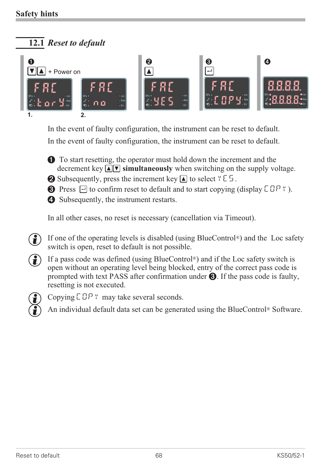## **12.1** *Reset to default*



In the event of faulty configuration, the instrument can be reset to default. In the event of faulty configuration, the instrument can be reset to default.

 $\bullet$  To start resetting, the operator must hold down the increment and the decrement key  $\widehat{A}|\nabla$  simultaneously when switching on the sumply ve decrement key  $\Box \Box$  **simultaneously** when switching on the supply voltage.<br>Subsequently, pross the increment key  $\Box$  to select  $\angle \Box$ 

- 2 Subsequently, press the increment key  $\Box$  to select  $\angle E$ .
- **3** Press  $\Box$  to confirm reset to default and to start copying (display  $\Box$   $\Box$   $\Box$   $\Box$   $\Box$   $\Box$ ).
- 4 Subsequently, the instrument restarts.

In all other cases, no reset is necessary (cancellation via Timeout).

- If one of the operating levels is disabled (using BlueControl®) and the Loc safety<br>switch is open, reset to default is not possible.<br>( $\bullet$ ) If a pass code was defined (using BlueControl®) and if the Loc safety switch is switch is open, reset to default is not possible.
- If a pass code was defined (using BlueControl®) and if the Loc safety switch is<br>open without an operating level being blocked, entry of the correct pass code is<br>prompted with text PASS after confirmation under  $\bigotimes$  If t open without an operating level being blocked, entry of the correct pass code is prompted with text PASS after confirmation under  $\Theta$ . If the pass code is faulty, resetting is not executed.



- g Copying COPY may take several seconds.
- ( $\bullet$ ) An individual default data set can be generated using the BlueControl® Software.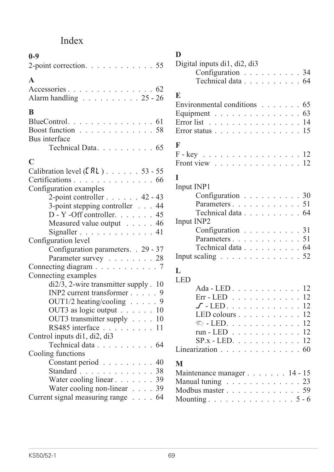## Index

| $0 - 9$                                                  |     |
|----------------------------------------------------------|-----|
| 2-point correction. $\ldots$ 55                          |     |
| $\mathbf{A}$                                             |     |
|                                                          |     |
| Accessories 62<br>Alarm handling 25 - 26                 |     |
| B                                                        |     |
| BlueControl. $\dots \dots \dots \dots \dots \dots \dots$ |     |
| Boost function 58                                        |     |
| Bus interface                                            |     |
| Technical Data 65                                        |     |
| $\mathbf C$                                              |     |
| Calibration level $(ERL)$ 53 - 55                        |     |
| Certifications 66                                        |     |
| Configuration examples                                   |     |
| 2-point controller $\ldots$ $\ldots$ 42 - 43             |     |
| 3-point stepping controller 44                           |     |
| D - Y -Off controller. 45                                |     |
| Measured value output 46                                 |     |
| Signaller $\ldots \ldots \ldots \ldots$ 41               |     |
| Configuration level                                      |     |
| Configuration parameters. . 29 - 37                      |     |
| Parameter survey 28                                      |     |
| Connecting diagram 7                                     |     |
| Connecting examples                                      |     |
| $di2/3$ , 2-wire transmitter supply . 10                 |     |
| INP2 current transformer $\ldots$ , 9                    |     |
| OUT1/2 heating/cooling $\ldots$ 9                        |     |
| OUT3 as logic output $\ldots \ldots 10$                  |     |
| OUT3 transmitter supply $\ldots$ . 10                    |     |
| RS485 interface $\ldots \ldots \ldots 11$                |     |
| Control inputs di1, di2, di3                             |     |
| Technical data 64                                        |     |
| Cooling functions                                        |     |
| Constant period                                          | .40 |
| Standard 38                                              |     |
| Water cooling linear 39                                  |     |
| Water cooling non-linear $\ldots$ 39                     |     |
| Current signal measuring range 64                        |     |

| D                                                         |    |  |  |  |  |
|-----------------------------------------------------------|----|--|--|--|--|
| Digital inputs di1, di2, di3                              |    |  |  |  |  |
| Configuration 34                                          |    |  |  |  |  |
| Technical data 64                                         |    |  |  |  |  |
| E                                                         |    |  |  |  |  |
| Environmental conditions $\ldots \ldots \ldots$ 65        |    |  |  |  |  |
| Equipment 63                                              |    |  |  |  |  |
| Error list $\ldots \ldots \ldots \ldots \ldots \ldots 14$ |    |  |  |  |  |
| Error status                                              | 15 |  |  |  |  |
|                                                           |    |  |  |  |  |
| F                                                         |    |  |  |  |  |
| $F - key$ 12                                              |    |  |  |  |  |
| Front view $\ldots \ldots \ldots \ldots \ldots 12$        |    |  |  |  |  |
| I                                                         |    |  |  |  |  |
| Input INP1                                                |    |  |  |  |  |
| Configuration 30                                          |    |  |  |  |  |
| Parameters51                                              |    |  |  |  |  |
| Technical data 64                                         |    |  |  |  |  |
| Input INP2                                                |    |  |  |  |  |
| Configuration 31                                          |    |  |  |  |  |
| Parameters51                                              |    |  |  |  |  |
| Technical data $\ldots \ldots \ldots \ldots 64$           |    |  |  |  |  |
| Input scaling $\ldots \ldots \ldots \ldots \ldots 52$     |    |  |  |  |  |
|                                                           |    |  |  |  |  |
| L<br>LED                                                  |    |  |  |  |  |
| Ada - LED $\ldots \ldots \ldots \ldots 12$                |    |  |  |  |  |
| $Err - LED \ldots \ldots \ldots \ldots$                   | 12 |  |  |  |  |
| $\mathcal{I}$ - LED 12                                    |    |  |  |  |  |
| LED colours 12                                            |    |  |  |  |  |
| $\mathbb{R}$ - LED. 12                                    |    |  |  |  |  |
| run - LED 12                                              |    |  |  |  |  |
| $SP.x$ - LED. 12                                          |    |  |  |  |  |
| Linearization $\ldots \ldots \ldots \ldots \ldots 60$     |    |  |  |  |  |
|                                                           |    |  |  |  |  |
| M                                                         |    |  |  |  |  |
| Maintenance manager 14 - 15                               |    |  |  |  |  |
| Manual tuning 23                                          |    |  |  |  |  |

Modbus master . . . . . . . . . . . . . . 59 Mounting . . . . . . . . . . . . . . . . 5 - 6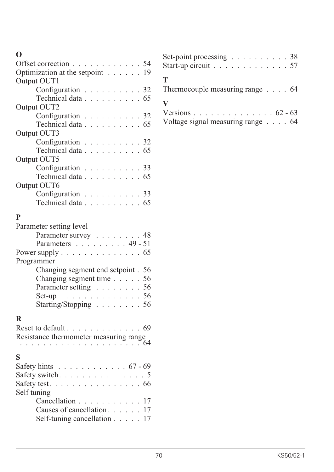## **O**

| Offset correction 54                                        |                                                |               |  |  |  |  |      |
|-------------------------------------------------------------|------------------------------------------------|---------------|--|--|--|--|------|
| Optimization at the setpoint 19                             |                                                |               |  |  |  |  |      |
| Output OUT1                                                 |                                                |               |  |  |  |  |      |
|                                                             | Configuration 32                               |               |  |  |  |  |      |
|                                                             | Technical data 65                              |               |  |  |  |  |      |
| Output OUT2                                                 |                                                |               |  |  |  |  |      |
|                                                             | Configuration 32                               |               |  |  |  |  |      |
|                                                             | Technical data 65                              |               |  |  |  |  |      |
| Output OUT3                                                 |                                                |               |  |  |  |  |      |
|                                                             | Configuration 32                               |               |  |  |  |  |      |
|                                                             | Technical data 65                              |               |  |  |  |  |      |
| Output OUT5                                                 |                                                |               |  |  |  |  |      |
|                                                             | Configuration 33                               |               |  |  |  |  |      |
|                                                             | Technical data 65                              |               |  |  |  |  |      |
| Output OUT6                                                 |                                                |               |  |  |  |  |      |
|                                                             | Configuration $\ldots \ldots \ldots \ldots$ 33 |               |  |  |  |  |      |
|                                                             | Technical data 65                              |               |  |  |  |  |      |
|                                                             |                                                |               |  |  |  |  |      |
| P                                                           |                                                |               |  |  |  |  |      |
| Parameter setting level                                     |                                                |               |  |  |  |  |      |
|                                                             | Parameter survey 48                            |               |  |  |  |  |      |
|                                                             | Parameters 49 - 51                             |               |  |  |  |  |      |
| Power supply $\dots \dots \dots \dots \dots \dots \dots$ 65 |                                                |               |  |  |  |  |      |
| Programmer                                                  |                                                |               |  |  |  |  |      |
|                                                             | Changing segment end setpoint . 56             |               |  |  |  |  |      |
|                                                             | Changing segment time 56                       |               |  |  |  |  |      |
|                                                             | Parameter setting 56                           |               |  |  |  |  |      |
|                                                             | Set-up 56                                      |               |  |  |  |  |      |
|                                                             | Starting/Stopping 56                           |               |  |  |  |  |      |
|                                                             |                                                |               |  |  |  |  |      |
| R                                                           |                                                |               |  |  |  |  |      |
| Reset to default 69                                         |                                                |               |  |  |  |  |      |
| Resistance thermometer measuring range                      |                                                |               |  |  |  |  |      |
|                                                             |                                                | $\sim$ $\sim$ |  |  |  |  | . 64 |
| S                                                           |                                                |               |  |  |  |  |      |
| Safety hints $\ldots \ldots \ldots \ldots \ldots 67 - 69$   |                                                |               |  |  |  |  |      |
| Safety switch. $\ldots \ldots \ldots \ldots \ldots$         |                                                |               |  |  |  |  |      |
| Safety test. $\ldots$ 66                                    |                                                |               |  |  |  |  |      |
| Self tuning                                                 |                                                |               |  |  |  |  |      |
|                                                             | Cancellation                                   |               |  |  |  |  | 17   |
|                                                             | Causes of cancellation                         |               |  |  |  |  | 17   |
|                                                             | Self-tuning cancellation                       |               |  |  |  |  | 17   |
|                                                             |                                                |               |  |  |  |  |      |

| Set-point processing $\ldots \ldots \ldots \ldots 38$<br>Start-up circuit $\ldots \ldots \ldots \ldots \ldots 57$ |  |
|-------------------------------------------------------------------------------------------------------------------|--|
| Т<br>Thermocouple measuring range $\ldots$ . 64                                                                   |  |
| V<br>Versions $62 - 63$<br>Voltage signal measuring range $\ldots$ . 64                                           |  |